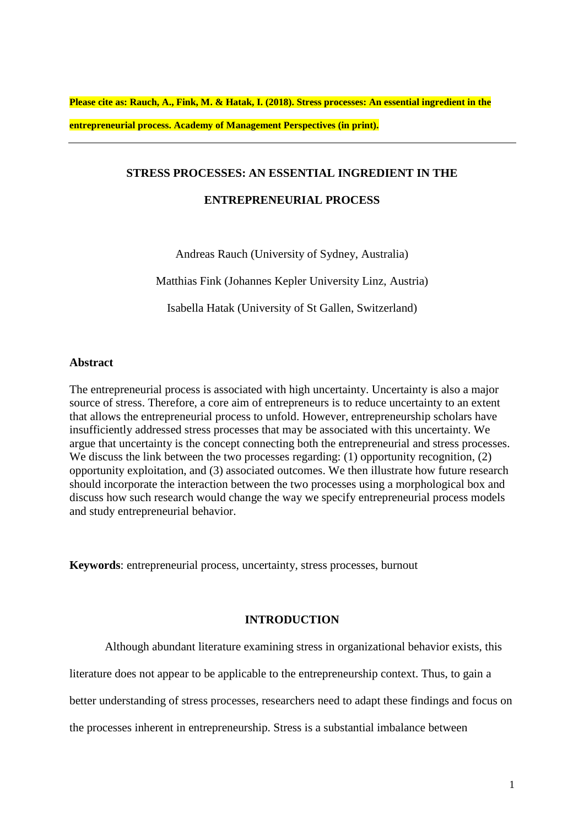**Please cite as: Rauch, A., Fink, M. & Hatak, I. (2018). Stress processes: An essential ingredient in the entrepreneurial process. Academy of Management Perspectives (in print).** 

# **STRESS PROCESSES: AN ESSENTIAL INGREDIENT IN THE**

### **ENTREPRENEURIAL PROCESS**

Andreas Rauch (University of Sydney, Australia)

Matthias Fink (Johannes Kepler University Linz, Austria)

Isabella Hatak (University of St Gallen, Switzerland)

#### **Abstract**

The entrepreneurial process is associated with high uncertainty. Uncertainty is also a major source of stress. Therefore, a core aim of entrepreneurs is to reduce uncertainty to an extent that allows the entrepreneurial process to unfold. However, entrepreneurship scholars have insufficiently addressed stress processes that may be associated with this uncertainty. We argue that uncertainty is the concept connecting both the entrepreneurial and stress processes. We discuss the link between the two processes regarding: (1) opportunity recognition, (2) opportunity exploitation, and (3) associated outcomes. We then illustrate how future research should incorporate the interaction between the two processes using a morphological box and discuss how such research would change the way we specify entrepreneurial process models and study entrepreneurial behavior.

**Keywords**: entrepreneurial process, uncertainty, stress processes, burnout

## **INTRODUCTION**

Although abundant literature examining stress in organizational behavior exists, this

literature does not appear to be applicable to the entrepreneurship context. Thus, to gain a

better understanding of stress processes, researchers need to adapt these findings and focus on

the processes inherent in entrepreneurship. Stress is a substantial imbalance between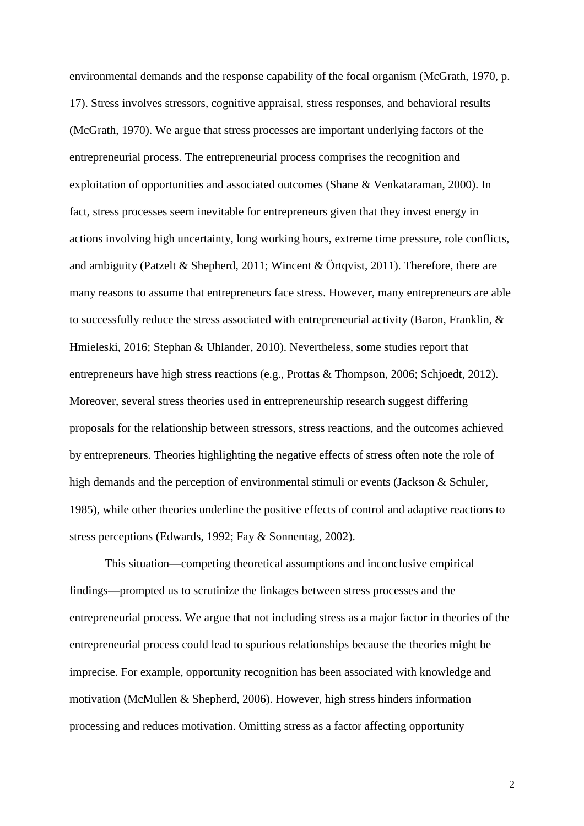environmental demands and the response capability of the focal organism (McGrath, 1970, p. 17). Stress involves stressors, cognitive appraisal, stress responses, and behavioral results (McGrath, 1970). We argue that stress processes are important underlying factors of the entrepreneurial process. The entrepreneurial process comprises the recognition and exploitation of opportunities and associated outcomes (Shane & Venkataraman, 2000). In fact, stress processes seem inevitable for entrepreneurs given that they invest energy in actions involving high uncertainty, long working hours, extreme time pressure, role conflicts, and ambiguity (Patzelt & Shepherd, 2011; Wincent & Örtqvist, 2011). Therefore, there are many reasons to assume that entrepreneurs face stress. However, many entrepreneurs are able to successfully reduce the stress associated with entrepreneurial activity (Baron, Franklin, & Hmieleski, 2016; Stephan & Uhlander, 2010). Nevertheless, some studies report that entrepreneurs have high stress reactions (e.g., Prottas & Thompson, 2006; Schjoedt, 2012). Moreover, several stress theories used in entrepreneurship research suggest differing proposals for the relationship between stressors, stress reactions, and the outcomes achieved by entrepreneurs. Theories highlighting the negative effects of stress often note the role of high demands and the perception of environmental stimuli or events (Jackson & Schuler, 1985), while other theories underline the positive effects of control and adaptive reactions to stress perceptions (Edwards, 1992; Fay & Sonnentag, 2002).

This situation—competing theoretical assumptions and inconclusive empirical findings—prompted us to scrutinize the linkages between stress processes and the entrepreneurial process. We argue that not including stress as a major factor in theories of the entrepreneurial process could lead to spurious relationships because the theories might be imprecise. For example, opportunity recognition has been associated with knowledge and motivation (McMullen & Shepherd, 2006). However, high stress hinders information processing and reduces motivation. Omitting stress as a factor affecting opportunity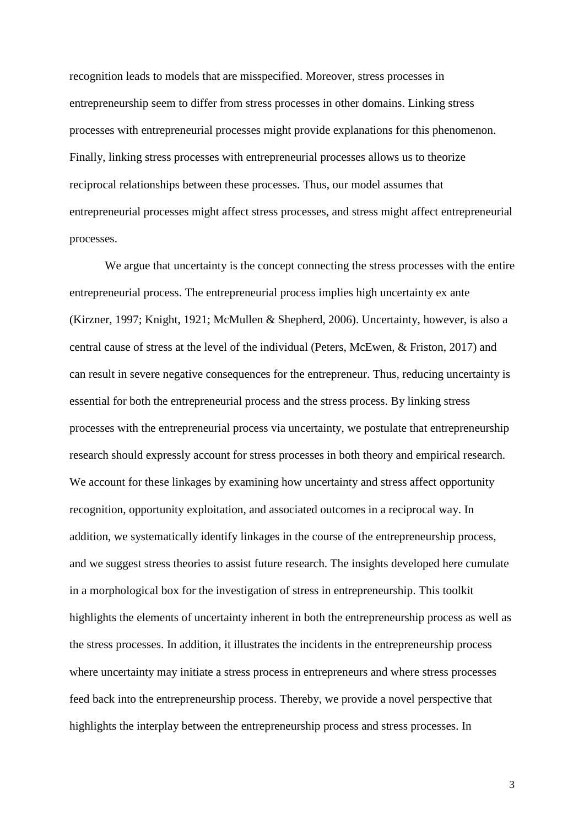recognition leads to models that are misspecified. Moreover, stress processes in entrepreneurship seem to differ from stress processes in other domains. Linking stress processes with entrepreneurial processes might provide explanations for this phenomenon. Finally, linking stress processes with entrepreneurial processes allows us to theorize reciprocal relationships between these processes. Thus, our model assumes that entrepreneurial processes might affect stress processes, and stress might affect entrepreneurial processes.

We argue that uncertainty is the concept connecting the stress processes with the entire entrepreneurial process. The entrepreneurial process implies high uncertainty ex ante (Kirzner, 1997; Knight, 1921; McMullen & Shepherd, 2006). Uncertainty, however, is also a central cause of stress at the level of the individual (Peters, McEwen, & Friston, 2017) and can result in severe negative consequences for the entrepreneur. Thus, reducing uncertainty is essential for both the entrepreneurial process and the stress process. By linking stress processes with the entrepreneurial process via uncertainty, we postulate that entrepreneurship research should expressly account for stress processes in both theory and empirical research. We account for these linkages by examining how uncertainty and stress affect opportunity recognition, opportunity exploitation, and associated outcomes in a reciprocal way. In addition, we systematically identify linkages in the course of the entrepreneurship process, and we suggest stress theories to assist future research. The insights developed here cumulate in a morphological box for the investigation of stress in entrepreneurship. This toolkit highlights the elements of uncertainty inherent in both the entrepreneurship process as well as the stress processes. In addition, it illustrates the incidents in the entrepreneurship process where uncertainty may initiate a stress process in entrepreneurs and where stress processes feed back into the entrepreneurship process. Thereby, we provide a novel perspective that highlights the interplay between the entrepreneurship process and stress processes. In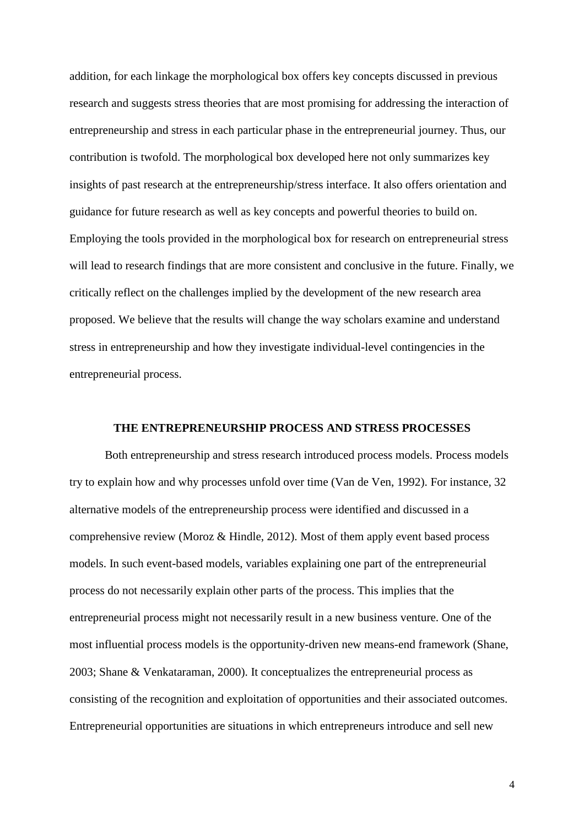addition, for each linkage the morphological box offers key concepts discussed in previous research and suggests stress theories that are most promising for addressing the interaction of entrepreneurship and stress in each particular phase in the entrepreneurial journey. Thus, our contribution is twofold. The morphological box developed here not only summarizes key insights of past research at the entrepreneurship/stress interface. It also offers orientation and guidance for future research as well as key concepts and powerful theories to build on. Employing the tools provided in the morphological box for research on entrepreneurial stress will lead to research findings that are more consistent and conclusive in the future. Finally, we critically reflect on the challenges implied by the development of the new research area proposed. We believe that the results will change the way scholars examine and understand stress in entrepreneurship and how they investigate individual-level contingencies in the entrepreneurial process.

#### **THE ENTREPRENEURSHIP PROCESS AND STRESS PROCESSES**

Both entrepreneurship and stress research introduced process models. Process models try to explain how and why processes unfold over time (Van de Ven, 1992). For instance, 32 alternative models of the entrepreneurship process were identified and discussed in a comprehensive review (Moroz & Hindle, 2012). Most of them apply event based process models. In such event-based models, variables explaining one part of the entrepreneurial process do not necessarily explain other parts of the process. This implies that the entrepreneurial process might not necessarily result in a new business venture. One of the most influential process models is the opportunity-driven new means-end framework (Shane, 2003; Shane & Venkataraman, 2000). It conceptualizes the entrepreneurial process as consisting of the recognition and exploitation of opportunities and their associated outcomes. Entrepreneurial opportunities are situations in which entrepreneurs introduce and sell new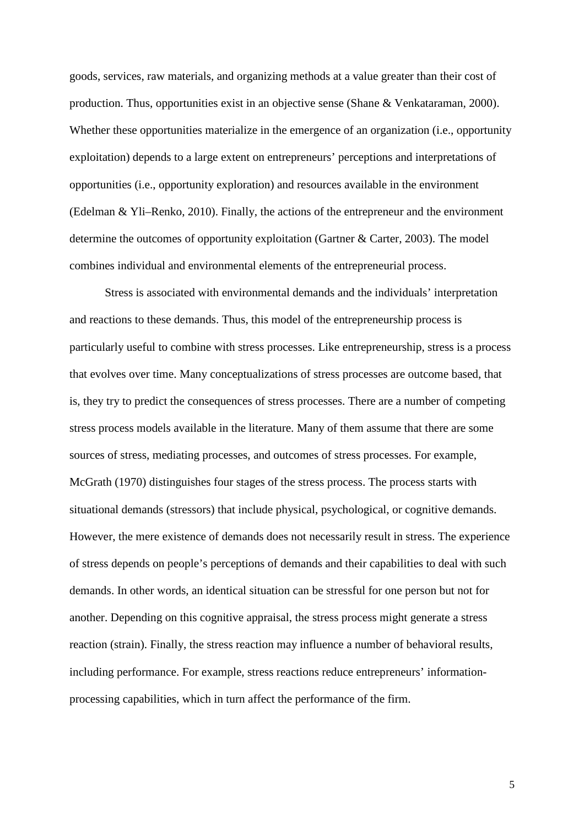goods, services, raw materials, and organizing methods at a value greater than their cost of production. Thus, opportunities exist in an objective sense (Shane & Venkataraman, 2000). Whether these opportunities materialize in the emergence of an organization (i.e., opportunity exploitation) depends to a large extent on entrepreneurs' perceptions and interpretations of opportunities (i.e., opportunity exploration) and resources available in the environment (Edelman & Yli–Renko, 2010). Finally, the actions of the entrepreneur and the environment determine the outcomes of opportunity exploitation (Gartner & Carter, 2003). The model combines individual and environmental elements of the entrepreneurial process.

Stress is associated with environmental demands and the individuals' interpretation and reactions to these demands. Thus, this model of the entrepreneurship process is particularly useful to combine with stress processes. Like entrepreneurship, stress is a process that evolves over time. Many conceptualizations of stress processes are outcome based, that is, they try to predict the consequences of stress processes. There are a number of competing stress process models available in the literature. Many of them assume that there are some sources of stress, mediating processes, and outcomes of stress processes. For example, McGrath (1970) distinguishes four stages of the stress process. The process starts with situational demands (stressors) that include physical, psychological, or cognitive demands. However, the mere existence of demands does not necessarily result in stress. The experience of stress depends on people's perceptions of demands and their capabilities to deal with such demands. In other words, an identical situation can be stressful for one person but not for another. Depending on this cognitive appraisal, the stress process might generate a stress reaction (strain). Finally, the stress reaction may influence a number of behavioral results, including performance. For example, stress reactions reduce entrepreneurs' informationprocessing capabilities, which in turn affect the performance of the firm.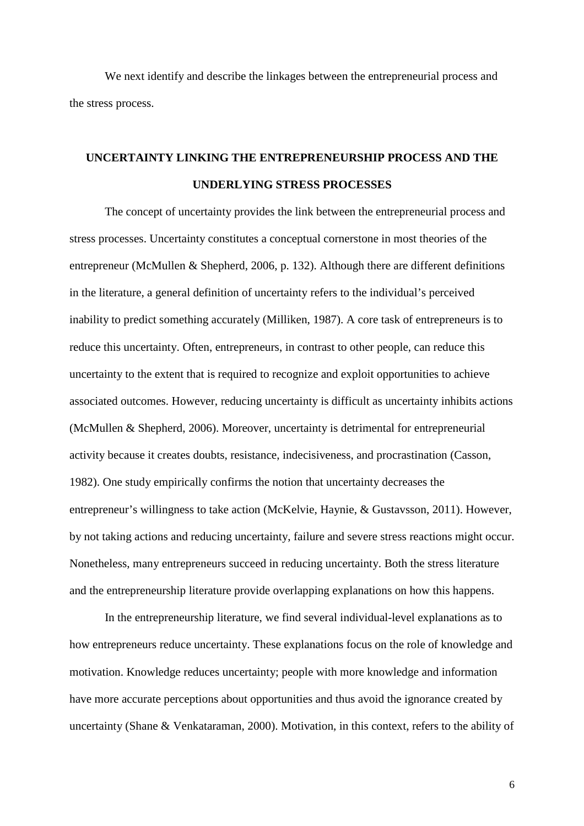We next identify and describe the linkages between the entrepreneurial process and the stress process.

# **UNCERTAINTY LINKING THE ENTREPRENEURSHIP PROCESS AND THE UNDERLYING STRESS PROCESSES**

The concept of uncertainty provides the link between the entrepreneurial process and stress processes. Uncertainty constitutes a conceptual cornerstone in most theories of the entrepreneur (McMullen & Shepherd, 2006, p. 132). Although there are different definitions in the literature, a general definition of uncertainty refers to the individual's perceived inability to predict something accurately (Milliken, 1987). A core task of entrepreneurs is to reduce this uncertainty. Often, entrepreneurs, in contrast to other people, can reduce this uncertainty to the extent that is required to recognize and exploit opportunities to achieve associated outcomes. However, reducing uncertainty is difficult as uncertainty inhibits actions (McMullen & Shepherd, 2006). Moreover, uncertainty is detrimental for entrepreneurial activity because it creates doubts, resistance, indecisiveness, and procrastination (Casson, 1982). One study empirically confirms the notion that uncertainty decreases the entrepreneur's willingness to take action (McKelvie, Haynie, & Gustavsson, 2011). However, by not taking actions and reducing uncertainty, failure and severe stress reactions might occur. Nonetheless, many entrepreneurs succeed in reducing uncertainty. Both the stress literature and the entrepreneurship literature provide overlapping explanations on how this happens.

In the entrepreneurship literature, we find several individual-level explanations as to how entrepreneurs reduce uncertainty. These explanations focus on the role of knowledge and motivation. Knowledge reduces uncertainty; people with more knowledge and information have more accurate perceptions about opportunities and thus avoid the ignorance created by uncertainty (Shane & Venkataraman, 2000). Motivation, in this context, refers to the ability of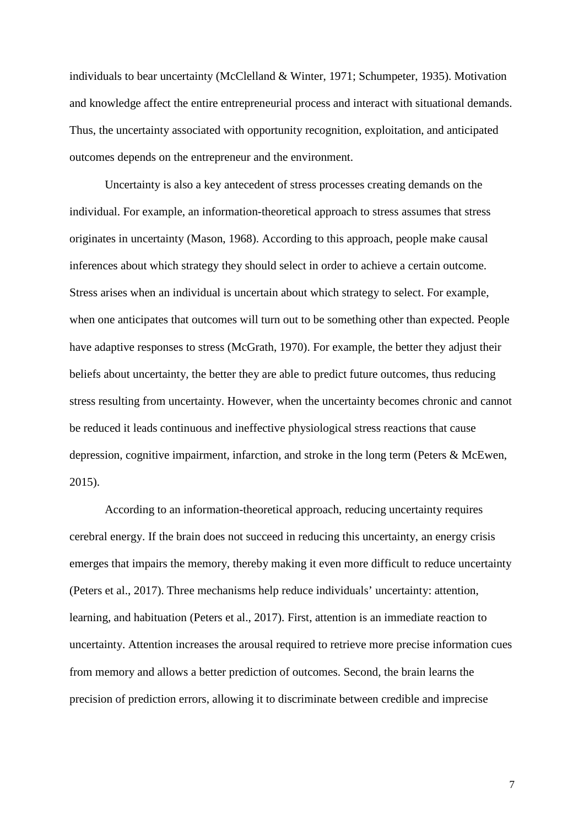individuals to bear uncertainty (McClelland & Winter, 1971; Schumpeter, 1935). Motivation and knowledge affect the entire entrepreneurial process and interact with situational demands. Thus, the uncertainty associated with opportunity recognition, exploitation, and anticipated outcomes depends on the entrepreneur and the environment.

Uncertainty is also a key antecedent of stress processes creating demands on the individual. For example, an information-theoretical approach to stress assumes that stress originates in uncertainty (Mason, 1968). According to this approach, people make causal inferences about which strategy they should select in order to achieve a certain outcome. Stress arises when an individual is uncertain about which strategy to select. For example, when one anticipates that outcomes will turn out to be something other than expected. People have adaptive responses to stress (McGrath, 1970). For example, the better they adjust their beliefs about uncertainty, the better they are able to predict future outcomes, thus reducing stress resulting from uncertainty. However, when the uncertainty becomes chronic and cannot be reduced it leads continuous and ineffective physiological stress reactions that cause depression, cognitive impairment, infarction, and stroke in the long term (Peters & McEwen, 2015).

According to an information-theoretical approach, reducing uncertainty requires cerebral energy. If the brain does not succeed in reducing this uncertainty, an energy crisis emerges that impairs the memory, thereby making it even more difficult to reduce uncertainty (Peters et al., 2017). Three mechanisms help reduce individuals' uncertainty: attention, learning, and habituation (Peters et al., 2017). First, attention is an immediate reaction to uncertainty. Attention increases the arousal required to retrieve more precise information cues from memory and allows a better prediction of outcomes. Second, the brain learns the precision of prediction errors, allowing it to discriminate between credible and imprecise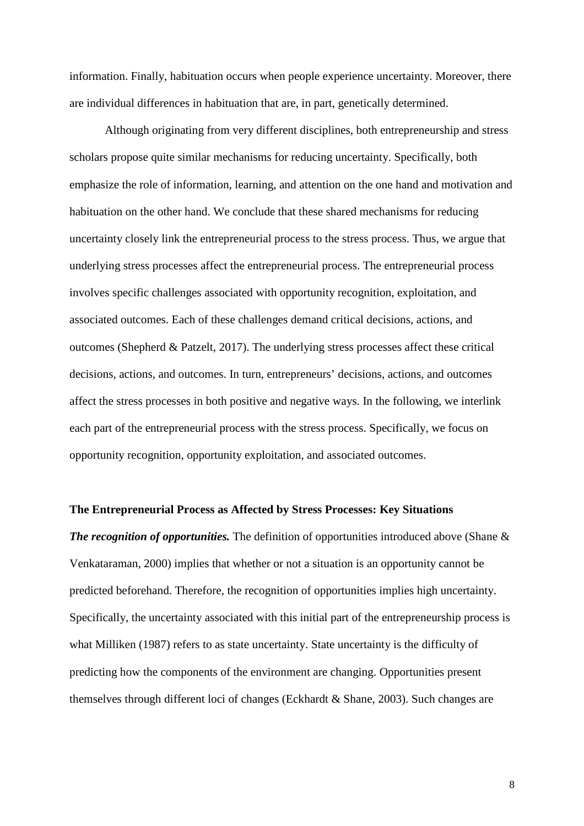information. Finally, habituation occurs when people experience uncertainty. Moreover, there are individual differences in habituation that are, in part, genetically determined.

Although originating from very different disciplines, both entrepreneurship and stress scholars propose quite similar mechanisms for reducing uncertainty. Specifically, both emphasize the role of information, learning, and attention on the one hand and motivation and habituation on the other hand. We conclude that these shared mechanisms for reducing uncertainty closely link the entrepreneurial process to the stress process. Thus, we argue that underlying stress processes affect the entrepreneurial process. The entrepreneurial process involves specific challenges associated with opportunity recognition, exploitation, and associated outcomes. Each of these challenges demand critical decisions, actions, and outcomes (Shepherd & Patzelt, 2017). The underlying stress processes affect these critical decisions, actions, and outcomes. In turn, entrepreneurs' decisions, actions, and outcomes affect the stress processes in both positive and negative ways. In the following, we interlink each part of the entrepreneurial process with the stress process. Specifically, we focus on opportunity recognition, opportunity exploitation, and associated outcomes.

### **The Entrepreneurial Process as Affected by Stress Processes: Key Situations**

*The recognition of opportunities.* The definition of opportunities introduced above (Shane & Venkataraman, 2000) implies that whether or not a situation is an opportunity cannot be predicted beforehand. Therefore, the recognition of opportunities implies high uncertainty. Specifically, the uncertainty associated with this initial part of the entrepreneurship process is what Milliken (1987) refers to as state uncertainty. State uncertainty is the difficulty of predicting how the components of the environment are changing. Opportunities present themselves through different loci of changes (Eckhardt & Shane, 2003). Such changes are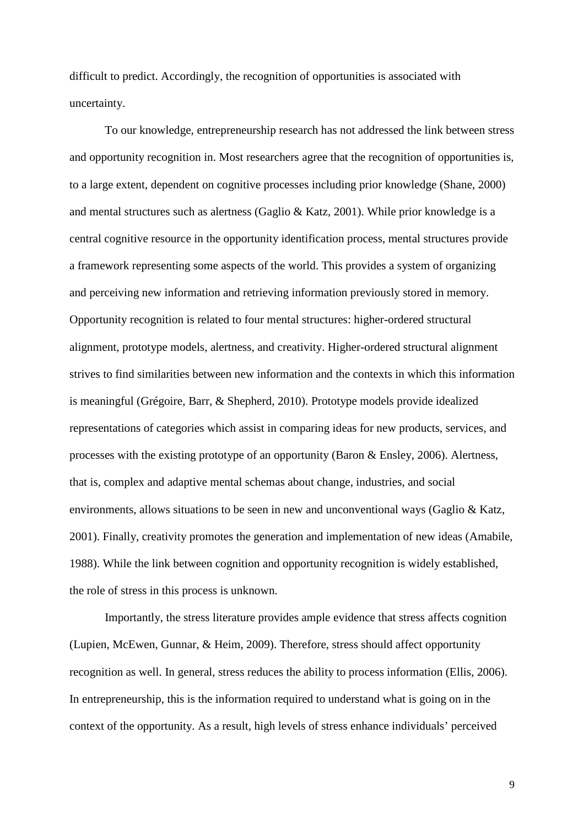difficult to predict. Accordingly, the recognition of opportunities is associated with uncertainty.

To our knowledge, entrepreneurship research has not addressed the link between stress and opportunity recognition in. Most researchers agree that the recognition of opportunities is, to a large extent, dependent on cognitive processes including prior knowledge (Shane, 2000) and mental structures such as alertness (Gaglio & Katz, 2001). While prior knowledge is a central cognitive resource in the opportunity identification process, mental structures provide a framework representing some aspects of the world. This provides a system of organizing and perceiving new information and retrieving information previously stored in memory. Opportunity recognition is related to four mental structures: higher-ordered structural alignment, prototype models, alertness, and creativity. Higher-ordered structural alignment strives to find similarities between new information and the contexts in which this information is meaningful (Grégoire, Barr, & Shepherd, 2010). Prototype models provide idealized representations of categories which assist in comparing ideas for new products, services, and processes with the existing prototype of an opportunity (Baron & Ensley, 2006). Alertness, that is, complex and adaptive mental schemas about change, industries, and social environments, allows situations to be seen in new and unconventional ways (Gaglio & Katz, 2001). Finally, creativity promotes the generation and implementation of new ideas (Amabile, 1988). While the link between cognition and opportunity recognition is widely established, the role of stress in this process is unknown.

Importantly, the stress literature provides ample evidence that stress affects cognition (Lupien, McEwen, Gunnar, & Heim, 2009). Therefore, stress should affect opportunity recognition as well. In general, stress reduces the ability to process information (Ellis, 2006). In entrepreneurship, this is the information required to understand what is going on in the context of the opportunity. As a result, high levels of stress enhance individuals' perceived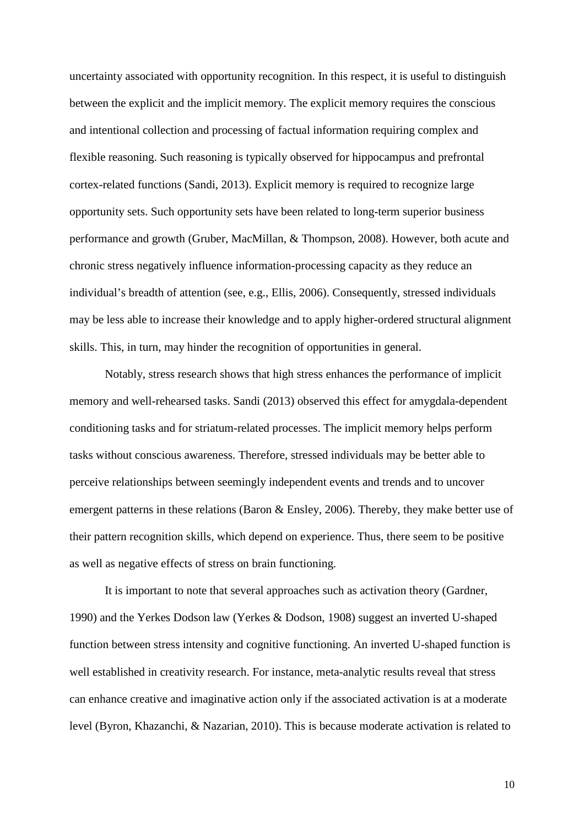uncertainty associated with opportunity recognition. In this respect, it is useful to distinguish between the explicit and the implicit memory. The explicit memory requires the conscious and intentional collection and processing of factual information requiring complex and flexible reasoning. Such reasoning is typically observed for hippocampus and prefrontal cortex-related functions (Sandi, 2013). Explicit memory is required to recognize large opportunity sets. Such opportunity sets have been related to long-term superior business performance and growth (Gruber, MacMillan, & Thompson, 2008). However, both acute and chronic stress negatively influence information-processing capacity as they reduce an individual's breadth of attention (see, e.g., Ellis, 2006). Consequently, stressed individuals may be less able to increase their knowledge and to apply higher-ordered structural alignment skills. This, in turn, may hinder the recognition of opportunities in general.

Notably, stress research shows that high stress enhances the performance of implicit memory and well-rehearsed tasks. Sandi (2013) observed this effect for amygdala-dependent conditioning tasks and for striatum-related processes. The implicit memory helps perform tasks without conscious awareness. Therefore, stressed individuals may be better able to perceive relationships between seemingly independent events and trends and to uncover emergent patterns in these relations (Baron & Ensley, 2006). Thereby, they make better use of their pattern recognition skills, which depend on experience. Thus, there seem to be positive as well as negative effects of stress on brain functioning.

It is important to note that several approaches such as activation theory (Gardner, 1990) and the Yerkes Dodson law (Yerkes & Dodson, 1908) suggest an inverted U-shaped function between stress intensity and cognitive functioning. An inverted U-shaped function is well established in creativity research. For instance, meta-analytic results reveal that stress can enhance creative and imaginative action only if the associated activation is at a moderate level (Byron, Khazanchi, & Nazarian, 2010). This is because moderate activation is related to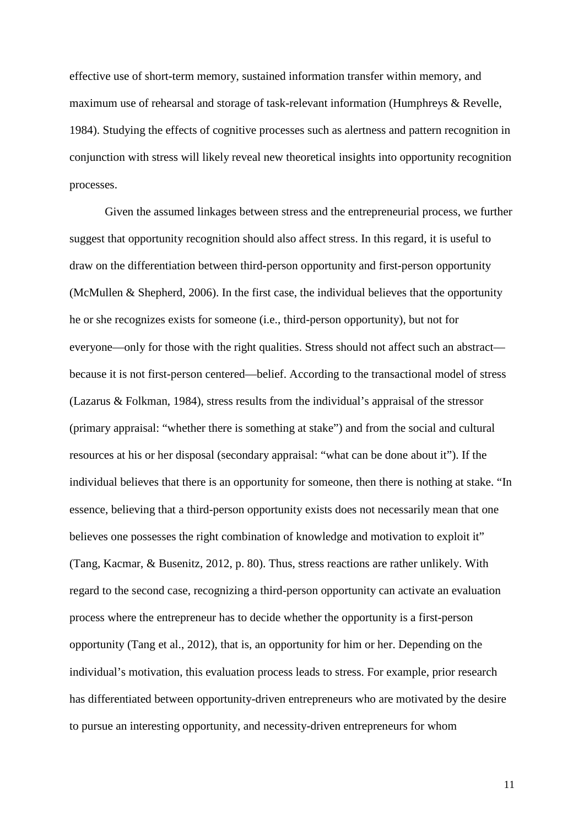effective use of short-term memory, sustained information transfer within memory, and maximum use of rehearsal and storage of task-relevant information (Humphreys & Revelle, 1984). Studying the effects of cognitive processes such as alertness and pattern recognition in conjunction with stress will likely reveal new theoretical insights into opportunity recognition processes.

Given the assumed linkages between stress and the entrepreneurial process, we further suggest that opportunity recognition should also affect stress. In this regard, it is useful to draw on the differentiation between third-person opportunity and first-person opportunity (McMullen & Shepherd, 2006). In the first case, the individual believes that the opportunity he or she recognizes exists for someone (i.e., third-person opportunity), but not for everyone—only for those with the right qualities. Stress should not affect such an abstract because it is not first-person centered—belief. According to the transactional model of stress (Lazarus & Folkman, 1984), stress results from the individual's appraisal of the stressor (primary appraisal: "whether there is something at stake") and from the social and cultural resources at his or her disposal (secondary appraisal: "what can be done about it"). If the individual believes that there is an opportunity for someone, then there is nothing at stake. "In essence, believing that a third-person opportunity exists does not necessarily mean that one believes one possesses the right combination of knowledge and motivation to exploit it" (Tang, Kacmar, & Busenitz, 2012, p. 80). Thus, stress reactions are rather unlikely. With regard to the second case, recognizing a third-person opportunity can activate an evaluation process where the entrepreneur has to decide whether the opportunity is a first-person opportunity (Tang et al., 2012), that is, an opportunity for him or her. Depending on the individual's motivation, this evaluation process leads to stress. For example, prior research has differentiated between opportunity-driven entrepreneurs who are motivated by the desire to pursue an interesting opportunity, and necessity-driven entrepreneurs for whom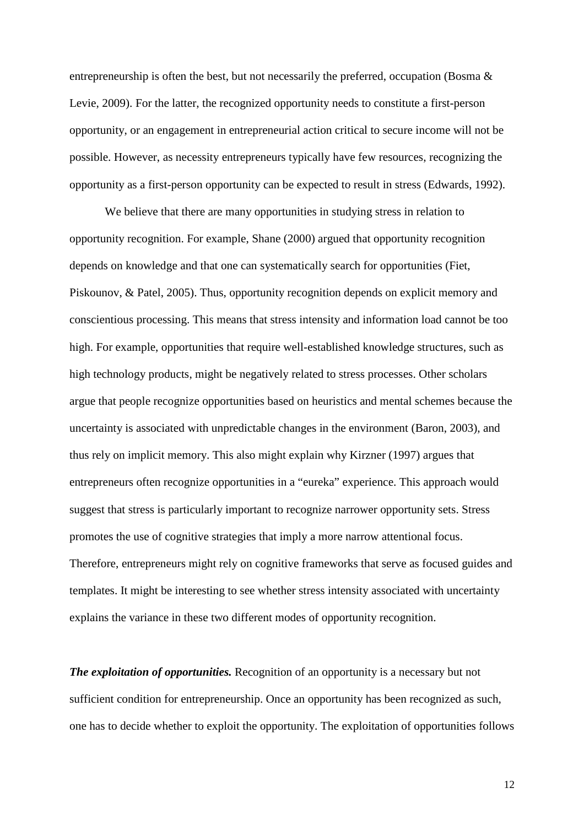entrepreneurship is often the best, but not necessarily the preferred, occupation (Bosma & Levie, 2009). For the latter, the recognized opportunity needs to constitute a first-person opportunity, or an engagement in entrepreneurial action critical to secure income will not be possible. However, as necessity entrepreneurs typically have few resources, recognizing the opportunity as a first-person opportunity can be expected to result in stress (Edwards, 1992).

We believe that there are many opportunities in studying stress in relation to opportunity recognition. For example, Shane (2000) argued that opportunity recognition depends on knowledge and that one can systematically search for opportunities (Fiet, Piskounov, & Patel, 2005). Thus, opportunity recognition depends on explicit memory and conscientious processing. This means that stress intensity and information load cannot be too high. For example, opportunities that require well-established knowledge structures, such as high technology products, might be negatively related to stress processes. Other scholars argue that people recognize opportunities based on heuristics and mental schemes because the uncertainty is associated with unpredictable changes in the environment (Baron, 2003), and thus rely on implicit memory. This also might explain why Kirzner (1997) argues that entrepreneurs often recognize opportunities in a "eureka" experience. This approach would suggest that stress is particularly important to recognize narrower opportunity sets. Stress promotes the use of cognitive strategies that imply a more narrow attentional focus. Therefore, entrepreneurs might rely on cognitive frameworks that serve as focused guides and templates. It might be interesting to see whether stress intensity associated with uncertainty explains the variance in these two different modes of opportunity recognition.

*The exploitation of opportunities.* Recognition of an opportunity is a necessary but not sufficient condition for entrepreneurship. Once an opportunity has been recognized as such, one has to decide whether to exploit the opportunity. The exploitation of opportunities follows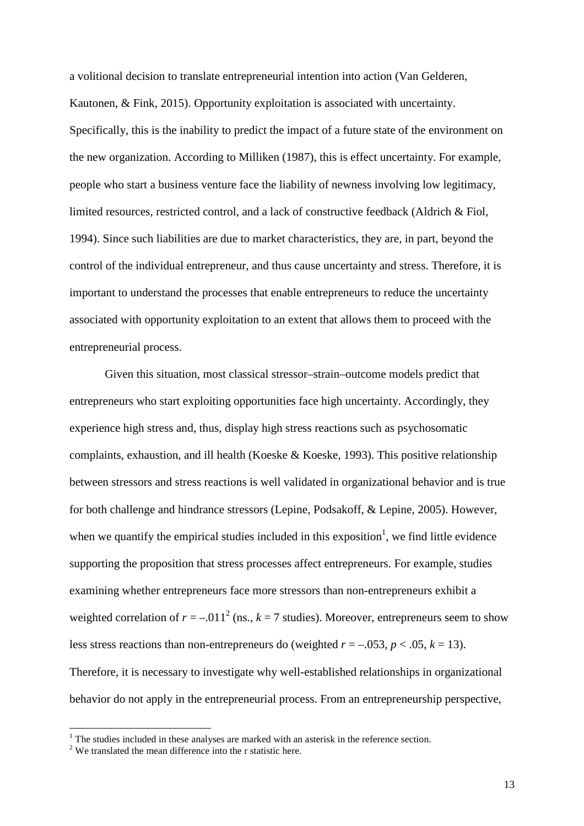a volitional decision to translate entrepreneurial intention into action (Van Gelderen, Kautonen, & Fink, 2015). Opportunity exploitation is associated with uncertainty. Specifically, this is the inability to predict the impact of a future state of the environment on the new organization. According to Milliken (1987), this is effect uncertainty. For example, people who start a business venture face the liability of newness involving low legitimacy, limited resources, restricted control, and a lack of constructive feedback (Aldrich & Fiol, 1994). Since such liabilities are due to market characteristics, they are, in part, beyond the control of the individual entrepreneur, and thus cause uncertainty and stress. Therefore, it is important to understand the processes that enable entrepreneurs to reduce the uncertainty associated with opportunity exploitation to an extent that allows them to proceed with the entrepreneurial process.

Given this situation, most classical stressor–strain–outcome models predict that entrepreneurs who start exploiting opportunities face high uncertainty. Accordingly, they experience high stress and, thus, display high stress reactions such as psychosomatic complaints, exhaustion, and ill health (Koeske & Koeske, 1993). This positive relationship between stressors and stress reactions is well validated in organizational behavior and is true for both challenge and hindrance stressors (Lepine, Podsakoff, & Lepine, 2005). However, when we quantify the empirical studies included in this exposition<sup>1</sup>, we find little evidence supporting the proposition that stress processes affect entrepreneurs. For example, studies examining whether entrepreneurs face more stressors than non-entrepreneurs exhibit a weighted correlation of  $r = -.011<sup>2</sup>$  (ns.,  $k = 7$  studies). Moreover, entrepreneurs seem to show less stress reactions than non-entrepreneurs do (weighted  $r = -0.053$ ,  $p < 0.05$ ,  $k = 13$ ). Therefore, it is necessary to investigate why well-established relationships in organizational behavior do not apply in the entrepreneurial process. From an entrepreneurship perspective,

l

 $<sup>1</sup>$  The studies included in these analyses are marked with an asterisk in the reference section.</sup>

 $2$  We translated the mean difference into the r statistic here.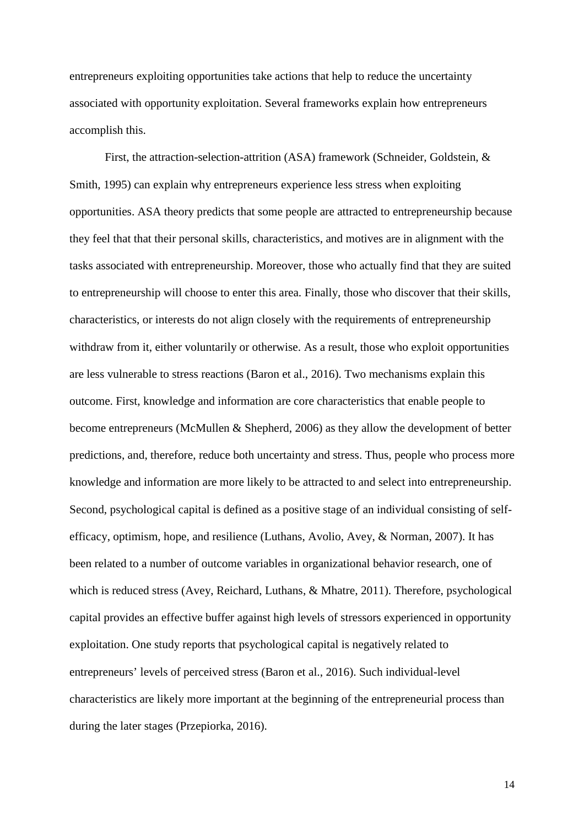entrepreneurs exploiting opportunities take actions that help to reduce the uncertainty associated with opportunity exploitation. Several frameworks explain how entrepreneurs accomplish this.

First, the attraction-selection-attrition (ASA) framework (Schneider, Goldstein, & Smith, 1995) can explain why entrepreneurs experience less stress when exploiting opportunities. ASA theory predicts that some people are attracted to entrepreneurship because they feel that that their personal skills, characteristics, and motives are in alignment with the tasks associated with entrepreneurship. Moreover, those who actually find that they are suited to entrepreneurship will choose to enter this area. Finally, those who discover that their skills, characteristics, or interests do not align closely with the requirements of entrepreneurship withdraw from it, either voluntarily or otherwise. As a result, those who exploit opportunities are less vulnerable to stress reactions (Baron et al., 2016). Two mechanisms explain this outcome. First, knowledge and information are core characteristics that enable people to become entrepreneurs (McMullen & Shepherd, 2006) as they allow the development of better predictions, and, therefore, reduce both uncertainty and stress. Thus, people who process more knowledge and information are more likely to be attracted to and select into entrepreneurship. Second, psychological capital is defined as a positive stage of an individual consisting of selfefficacy, optimism, hope, and resilience (Luthans, Avolio, Avey, & Norman, 2007). It has been related to a number of outcome variables in organizational behavior research, one of which is reduced stress (Avey, Reichard, Luthans, & Mhatre, 2011). Therefore, psychological capital provides an effective buffer against high levels of stressors experienced in opportunity exploitation. One study reports that psychological capital is negatively related to entrepreneurs' levels of perceived stress (Baron et al., 2016). Such individual-level characteristics are likely more important at the beginning of the entrepreneurial process than during the later stages (Przepiorka, 2016).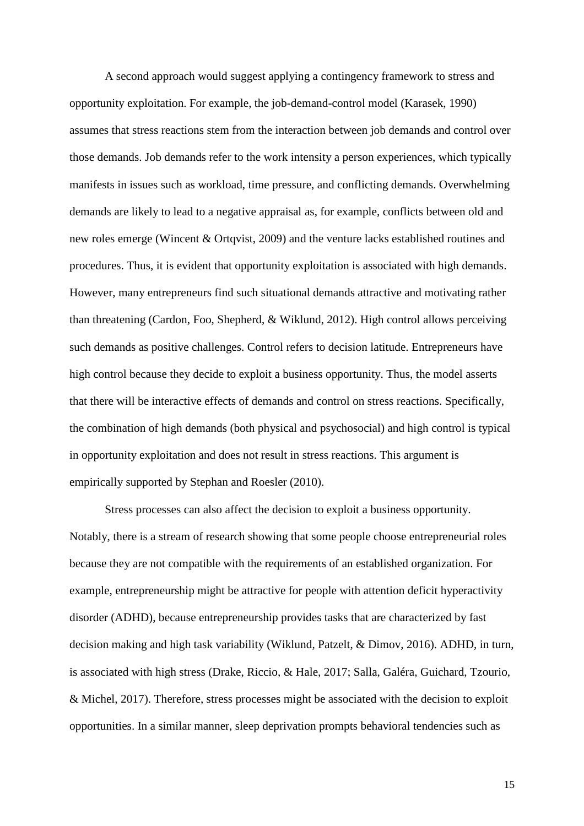A second approach would suggest applying a contingency framework to stress and opportunity exploitation. For example, the job-demand-control model (Karasek, 1990) assumes that stress reactions stem from the interaction between job demands and control over those demands. Job demands refer to the work intensity a person experiences, which typically manifests in issues such as workload, time pressure, and conflicting demands. Overwhelming demands are likely to lead to a negative appraisal as, for example, conflicts between old and new roles emerge (Wincent & Ortqvist, 2009) and the venture lacks established routines and procedures. Thus, it is evident that opportunity exploitation is associated with high demands. However, many entrepreneurs find such situational demands attractive and motivating rather than threatening (Cardon, Foo, Shepherd, & Wiklund, 2012). High control allows perceiving such demands as positive challenges. Control refers to decision latitude. Entrepreneurs have high control because they decide to exploit a business opportunity. Thus, the model asserts that there will be interactive effects of demands and control on stress reactions. Specifically, the combination of high demands (both physical and psychosocial) and high control is typical in opportunity exploitation and does not result in stress reactions. This argument is empirically supported by Stephan and Roesler (2010).

Stress processes can also affect the decision to exploit a business opportunity. Notably, there is a stream of research showing that some people choose entrepreneurial roles because they are not compatible with the requirements of an established organization. For example, entrepreneurship might be attractive for people with attention deficit hyperactivity disorder (ADHD), because entrepreneurship provides tasks that are characterized by fast decision making and high task variability (Wiklund, Patzelt, & Dimov, 2016). ADHD, in turn, is associated with high stress (Drake, Riccio, & Hale, 2017; Salla, Galéra, Guichard, Tzourio, & Michel, 2017). Therefore, stress processes might be associated with the decision to exploit opportunities. In a similar manner, sleep deprivation prompts behavioral tendencies such as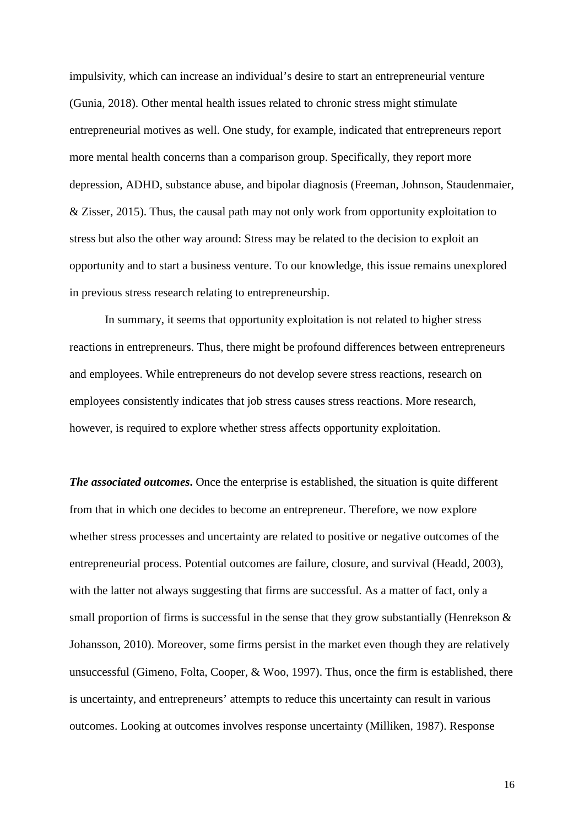impulsivity, which can increase an individual's desire to start an entrepreneurial venture (Gunia, 2018). Other mental health issues related to chronic stress might stimulate entrepreneurial motives as well. One study, for example, indicated that entrepreneurs report more mental health concerns than a comparison group. Specifically, they report more depression, ADHD, substance abuse, and bipolar diagnosis (Freeman, Johnson, Staudenmaier, & Zisser, 2015). Thus, the causal path may not only work from opportunity exploitation to stress but also the other way around: Stress may be related to the decision to exploit an opportunity and to start a business venture. To our knowledge, this issue remains unexplored in previous stress research relating to entrepreneurship.

In summary, it seems that opportunity exploitation is not related to higher stress reactions in entrepreneurs. Thus, there might be profound differences between entrepreneurs and employees. While entrepreneurs do not develop severe stress reactions, research on employees consistently indicates that job stress causes stress reactions. More research, however, is required to explore whether stress affects opportunity exploitation.

*The associated outcomes***.** Once the enterprise is established, the situation is quite different from that in which one decides to become an entrepreneur. Therefore, we now explore whether stress processes and uncertainty are related to positive or negative outcomes of the entrepreneurial process. Potential outcomes are failure, closure, and survival (Headd, 2003), with the latter not always suggesting that firms are successful. As a matter of fact, only a small proportion of firms is successful in the sense that they grow substantially (Henrekson  $\&$ Johansson, 2010). Moreover, some firms persist in the market even though they are relatively unsuccessful (Gimeno, Folta, Cooper, & Woo, 1997). Thus, once the firm is established, there is uncertainty, and entrepreneurs' attempts to reduce this uncertainty can result in various outcomes. Looking at outcomes involves response uncertainty (Milliken, 1987). Response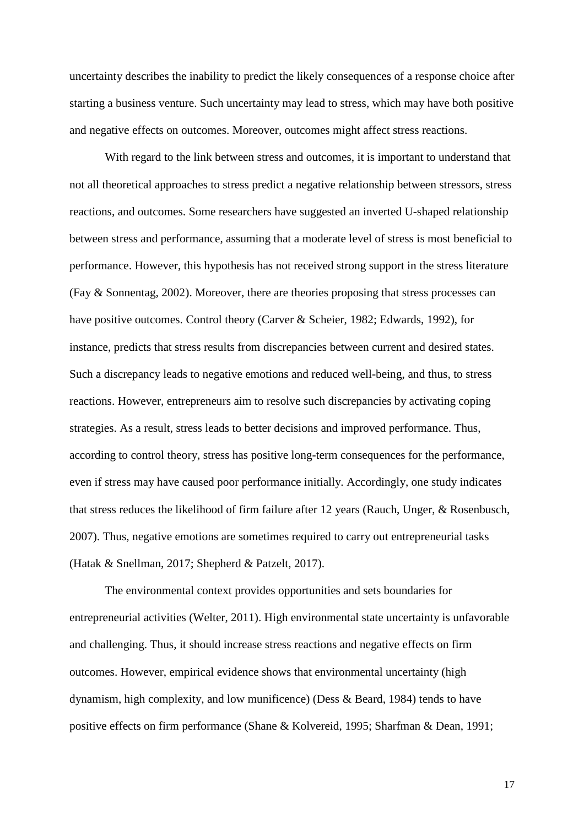uncertainty describes the inability to predict the likely consequences of a response choice after starting a business venture. Such uncertainty may lead to stress, which may have both positive and negative effects on outcomes. Moreover, outcomes might affect stress reactions.

With regard to the link between stress and outcomes, it is important to understand that not all theoretical approaches to stress predict a negative relationship between stressors, stress reactions, and outcomes. Some researchers have suggested an inverted U-shaped relationship between stress and performance, assuming that a moderate level of stress is most beneficial to performance. However, this hypothesis has not received strong support in the stress literature (Fay & Sonnentag, 2002). Moreover, there are theories proposing that stress processes can have positive outcomes. Control theory (Carver & Scheier, 1982; Edwards, 1992), for instance, predicts that stress results from discrepancies between current and desired states. Such a discrepancy leads to negative emotions and reduced well-being, and thus, to stress reactions. However, entrepreneurs aim to resolve such discrepancies by activating coping strategies. As a result, stress leads to better decisions and improved performance. Thus, according to control theory, stress has positive long-term consequences for the performance, even if stress may have caused poor performance initially. Accordingly, one study indicates that stress reduces the likelihood of firm failure after 12 years (Rauch, Unger, & Rosenbusch, 2007). Thus, negative emotions are sometimes required to carry out entrepreneurial tasks (Hatak & Snellman, 2017; Shepherd & Patzelt, 2017).

The environmental context provides opportunities and sets boundaries for entrepreneurial activities (Welter, 2011). High environmental state uncertainty is unfavorable and challenging. Thus, it should increase stress reactions and negative effects on firm outcomes. However, empirical evidence shows that environmental uncertainty (high dynamism, high complexity, and low munificence) (Dess & Beard, 1984) tends to have positive effects on firm performance (Shane & Kolvereid, 1995; Sharfman & Dean, 1991;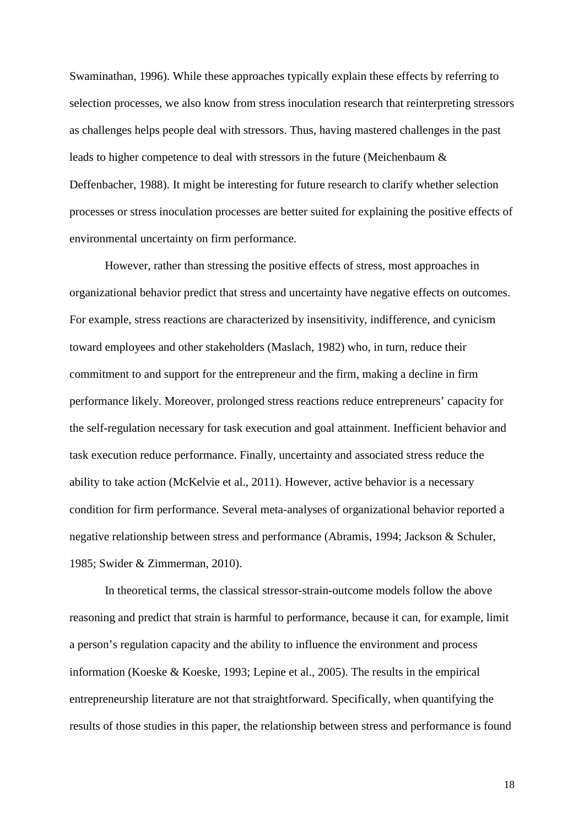Swaminathan, 1996). While these approaches typically explain these effects by referring to selection processes, we also know from stress inoculation research that reinterpreting stressors as challenges helps people deal with stressors. Thus, having mastered challenges in the past leads to higher competence to deal with stressors in the future (Meichenbaum & Deffenbacher, 1988). It might be interesting for future research to clarify whether selection processes or stress inoculation processes are better suited for explaining the positive effects of environmental uncertainty on firm performance.

However, rather than stressing the positive effects of stress, most approaches in organizational behavior predict that stress and uncertainty have negative effects on outcomes. For example, stress reactions are characterized by insensitivity, indifference, and cynicism toward employees and other stakeholders (Maslach, 1982) who, in turn, reduce their commitment to and support for the entrepreneur and the firm, making a decline in firm performance likely. Moreover, prolonged stress reactions reduce entrepreneurs' capacity for the self-regulation necessary for task execution and goal attainment. Inefficient behavior and task execution reduce performance. Finally, uncertainty and associated stress reduce the ability to take action (McKelvie et al., 2011). However, active behavior is a necessary condition for firm performance. Several meta-analyses of organizational behavior reported a negative relationship between stress and performance (Abramis, 1994; Jackson & Schuler, 1985; Swider & Zimmerman, 2010).

In theoretical terms, the classical stressor-strain-outcome models follow the above reasoning and predict that strain is harmful to performance, because it can, for example, limit a person's regulation capacity and the ability to influence the environment and process information (Koeske & Koeske, 1993; Lepine et al., 2005). The results in the empirical entrepreneurship literature are not that straightforward. Specifically, when quantifying the results of those studies in this paper, the relationship between stress and performance is found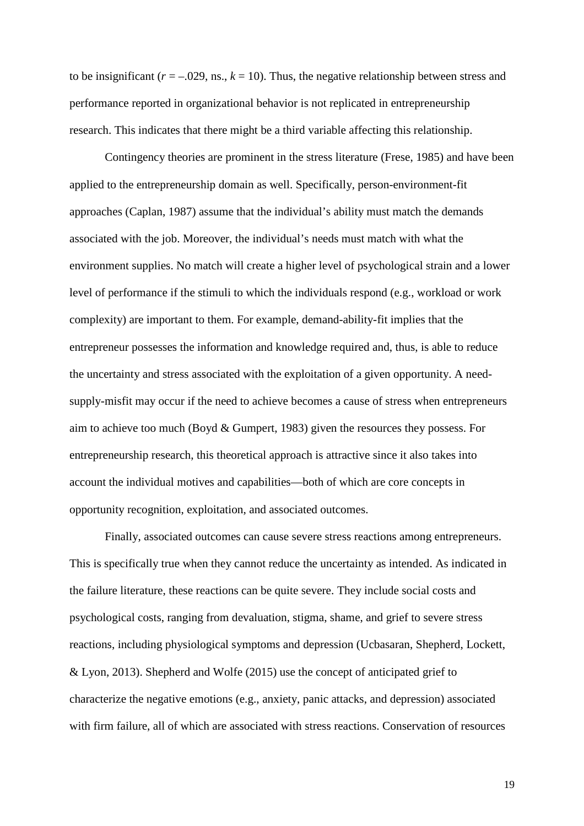to be insignificant  $(r = -0.029, \text{ns.}, k = 10)$ . Thus, the negative relationship between stress and performance reported in organizational behavior is not replicated in entrepreneurship research. This indicates that there might be a third variable affecting this relationship.

Contingency theories are prominent in the stress literature (Frese, 1985) and have been applied to the entrepreneurship domain as well. Specifically, person-environment-fit approaches (Caplan, 1987) assume that the individual's ability must match the demands associated with the job. Moreover, the individual's needs must match with what the environment supplies. No match will create a higher level of psychological strain and a lower level of performance if the stimuli to which the individuals respond (e.g., workload or work complexity) are important to them. For example, demand-ability-fit implies that the entrepreneur possesses the information and knowledge required and, thus, is able to reduce the uncertainty and stress associated with the exploitation of a given opportunity. A needsupply-misfit may occur if the need to achieve becomes a cause of stress when entrepreneurs aim to achieve too much (Boyd & Gumpert, 1983) given the resources they possess. For entrepreneurship research, this theoretical approach is attractive since it also takes into account the individual motives and capabilities—both of which are core concepts in opportunity recognition, exploitation, and associated outcomes.

Finally, associated outcomes can cause severe stress reactions among entrepreneurs. This is specifically true when they cannot reduce the uncertainty as intended. As indicated in the failure literature, these reactions can be quite severe. They include social costs and psychological costs, ranging from devaluation, stigma, shame, and grief to severe stress reactions, including physiological symptoms and depression (Ucbasaran, Shepherd, Lockett, & Lyon, 2013). Shepherd and Wolfe (2015) use the concept of anticipated grief to characterize the negative emotions (e.g., anxiety, panic attacks, and depression) associated with firm failure, all of which are associated with stress reactions. Conservation of resources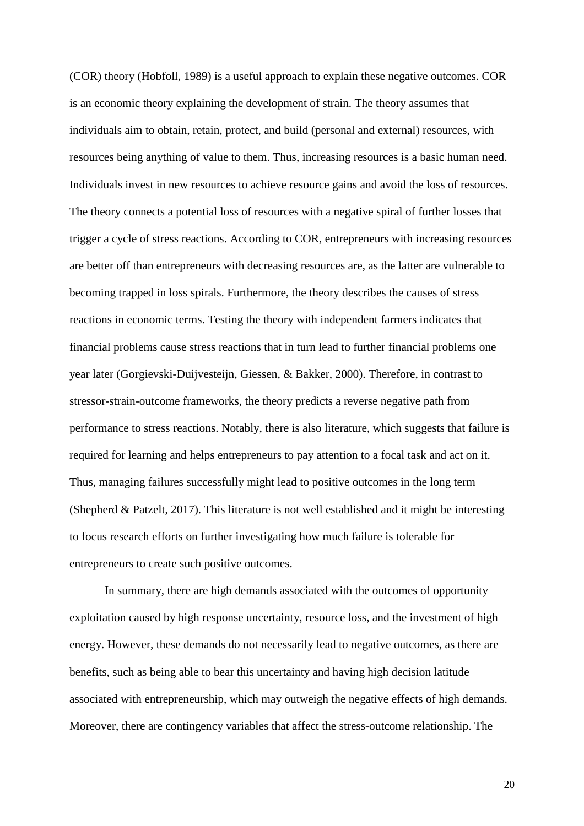(COR) theory (Hobfoll, 1989) is a useful approach to explain these negative outcomes. COR is an economic theory explaining the development of strain. The theory assumes that individuals aim to obtain, retain, protect, and build (personal and external) resources, with resources being anything of value to them. Thus, increasing resources is a basic human need. Individuals invest in new resources to achieve resource gains and avoid the loss of resources. The theory connects a potential loss of resources with a negative spiral of further losses that trigger a cycle of stress reactions. According to COR, entrepreneurs with increasing resources are better off than entrepreneurs with decreasing resources are, as the latter are vulnerable to becoming trapped in loss spirals. Furthermore, the theory describes the causes of stress reactions in economic terms. Testing the theory with independent farmers indicates that financial problems cause stress reactions that in turn lead to further financial problems one year later (Gorgievski-Duijvesteijn, Giessen, & Bakker, 2000). Therefore, in contrast to stressor-strain-outcome frameworks, the theory predicts a reverse negative path from performance to stress reactions. Notably, there is also literature, which suggests that failure is required for learning and helps entrepreneurs to pay attention to a focal task and act on it. Thus, managing failures successfully might lead to positive outcomes in the long term (Shepherd & Patzelt, 2017). This literature is not well established and it might be interesting to focus research efforts on further investigating how much failure is tolerable for entrepreneurs to create such positive outcomes.

In summary, there are high demands associated with the outcomes of opportunity exploitation caused by high response uncertainty, resource loss, and the investment of high energy. However, these demands do not necessarily lead to negative outcomes, as there are benefits, such as being able to bear this uncertainty and having high decision latitude associated with entrepreneurship, which may outweigh the negative effects of high demands. Moreover, there are contingency variables that affect the stress-outcome relationship. The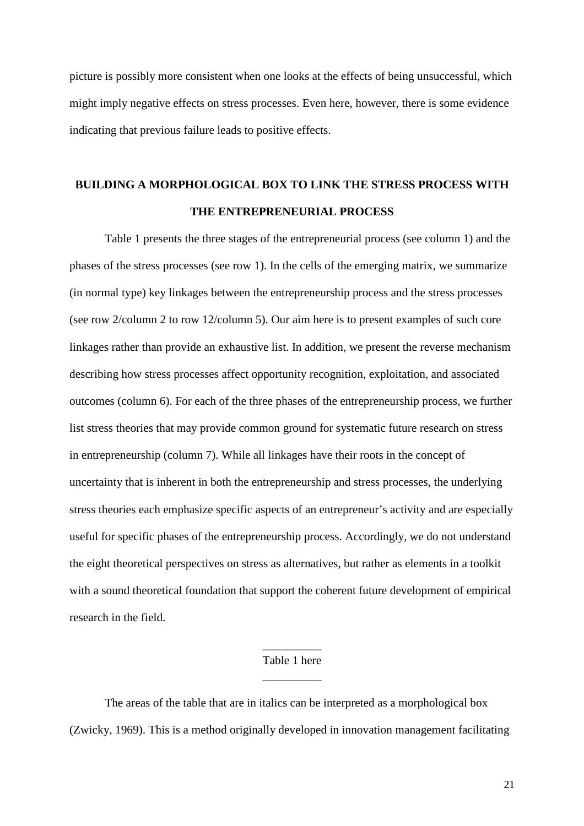picture is possibly more consistent when one looks at the effects of being unsuccessful, which might imply negative effects on stress processes. Even here, however, there is some evidence indicating that previous failure leads to positive effects.

# **BUILDING A MORPHOLOGICAL BOX TO LINK THE STRESS PROCESS WITH THE ENTREPRENEURIAL PROCESS**

Table 1 presents the three stages of the entrepreneurial process (see column 1) and the phases of the stress processes (see row 1). In the cells of the emerging matrix, we summarize (in normal type) key linkages between the entrepreneurship process and the stress processes (see row 2/column 2 to row 12/column 5). Our aim here is to present examples of such core linkages rather than provide an exhaustive list. In addition, we present the reverse mechanism describing how stress processes affect opportunity recognition, exploitation, and associated outcomes (column 6). For each of the three phases of the entrepreneurship process, we further list stress theories that may provide common ground for systematic future research on stress in entrepreneurship (column 7). While all linkages have their roots in the concept of uncertainty that is inherent in both the entrepreneurship and stress processes, the underlying stress theories each emphasize specific aspects of an entrepreneur's activity and are especially useful for specific phases of the entrepreneurship process. Accordingly, we do not understand the eight theoretical perspectives on stress as alternatives, but rather as elements in a toolkit with a sound theoretical foundation that support the coherent future development of empirical research in the field.

# \_\_\_\_\_\_\_\_\_\_ Table 1 here \_\_\_\_\_\_\_\_\_\_

The areas of the table that are in italics can be interpreted as a morphological box (Zwicky, 1969). This is a method originally developed in innovation management facilitating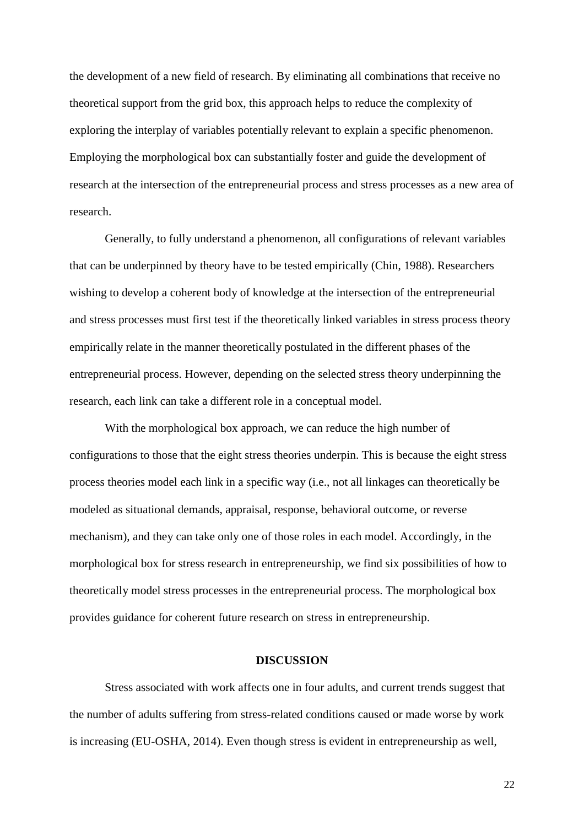the development of a new field of research. By eliminating all combinations that receive no theoretical support from the grid box, this approach helps to reduce the complexity of exploring the interplay of variables potentially relevant to explain a specific phenomenon. Employing the morphological box can substantially foster and guide the development of research at the intersection of the entrepreneurial process and stress processes as a new area of research.

Generally, to fully understand a phenomenon, all configurations of relevant variables that can be underpinned by theory have to be tested empirically (Chin, 1988). Researchers wishing to develop a coherent body of knowledge at the intersection of the entrepreneurial and stress processes must first test if the theoretically linked variables in stress process theory empirically relate in the manner theoretically postulated in the different phases of the entrepreneurial process. However, depending on the selected stress theory underpinning the research, each link can take a different role in a conceptual model.

With the morphological box approach, we can reduce the high number of configurations to those that the eight stress theories underpin. This is because the eight stress process theories model each link in a specific way (i.e., not all linkages can theoretically be modeled as situational demands, appraisal, response, behavioral outcome, or reverse mechanism), and they can take only one of those roles in each model. Accordingly, in the morphological box for stress research in entrepreneurship, we find six possibilities of how to theoretically model stress processes in the entrepreneurial process. The morphological box provides guidance for coherent future research on stress in entrepreneurship.

# **DISCUSSION**

Stress associated with work affects one in four adults, and current trends suggest that the number of adults suffering from stress-related conditions caused or made worse by work is increasing (EU-OSHA, 2014). Even though stress is evident in entrepreneurship as well,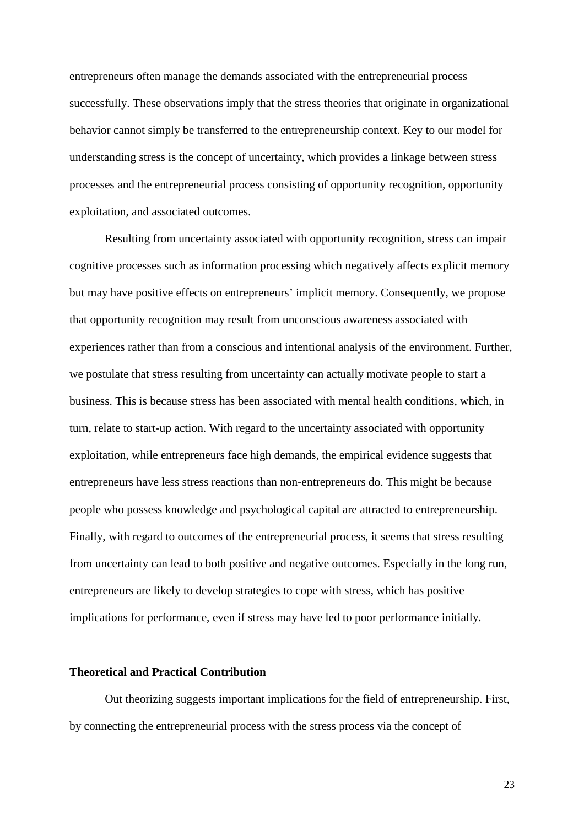entrepreneurs often manage the demands associated with the entrepreneurial process successfully. These observations imply that the stress theories that originate in organizational behavior cannot simply be transferred to the entrepreneurship context. Key to our model for understanding stress is the concept of uncertainty, which provides a linkage between stress processes and the entrepreneurial process consisting of opportunity recognition, opportunity exploitation, and associated outcomes.

Resulting from uncertainty associated with opportunity recognition, stress can impair cognitive processes such as information processing which negatively affects explicit memory but may have positive effects on entrepreneurs' implicit memory. Consequently, we propose that opportunity recognition may result from unconscious awareness associated with experiences rather than from a conscious and intentional analysis of the environment. Further, we postulate that stress resulting from uncertainty can actually motivate people to start a business. This is because stress has been associated with mental health conditions, which, in turn, relate to start-up action. With regard to the uncertainty associated with opportunity exploitation, while entrepreneurs face high demands, the empirical evidence suggests that entrepreneurs have less stress reactions than non-entrepreneurs do. This might be because people who possess knowledge and psychological capital are attracted to entrepreneurship. Finally, with regard to outcomes of the entrepreneurial process, it seems that stress resulting from uncertainty can lead to both positive and negative outcomes. Especially in the long run, entrepreneurs are likely to develop strategies to cope with stress, which has positive implications for performance, even if stress may have led to poor performance initially.

### **Theoretical and Practical Contribution**

Out theorizing suggests important implications for the field of entrepreneurship. First, by connecting the entrepreneurial process with the stress process via the concept of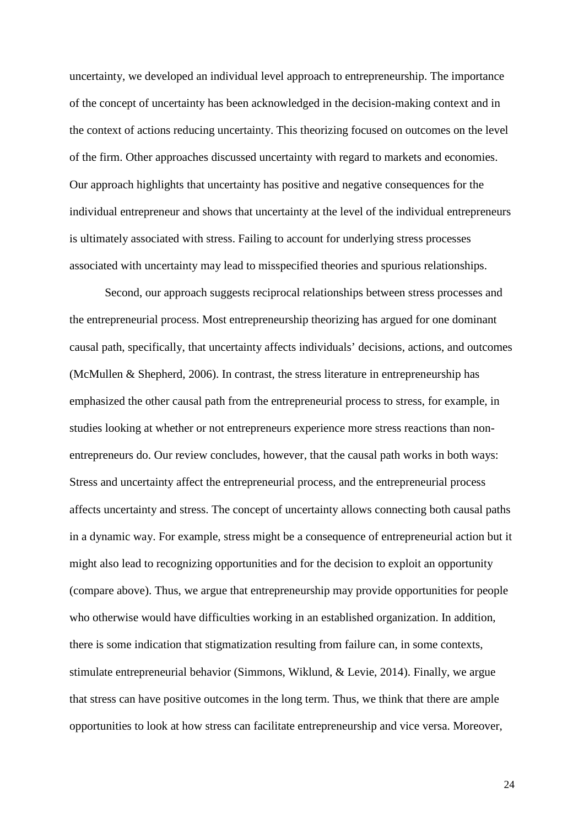uncertainty, we developed an individual level approach to entrepreneurship. The importance of the concept of uncertainty has been acknowledged in the decision-making context and in the context of actions reducing uncertainty. This theorizing focused on outcomes on the level of the firm. Other approaches discussed uncertainty with regard to markets and economies. Our approach highlights that uncertainty has positive and negative consequences for the individual entrepreneur and shows that uncertainty at the level of the individual entrepreneurs is ultimately associated with stress. Failing to account for underlying stress processes associated with uncertainty may lead to misspecified theories and spurious relationships.

Second, our approach suggests reciprocal relationships between stress processes and the entrepreneurial process. Most entrepreneurship theorizing has argued for one dominant causal path, specifically, that uncertainty affects individuals' decisions, actions, and outcomes (McMullen & Shepherd, 2006). In contrast, the stress literature in entrepreneurship has emphasized the other causal path from the entrepreneurial process to stress, for example, in studies looking at whether or not entrepreneurs experience more stress reactions than nonentrepreneurs do. Our review concludes, however, that the causal path works in both ways: Stress and uncertainty affect the entrepreneurial process, and the entrepreneurial process affects uncertainty and stress. The concept of uncertainty allows connecting both causal paths in a dynamic way. For example, stress might be a consequence of entrepreneurial action but it might also lead to recognizing opportunities and for the decision to exploit an opportunity (compare above). Thus, we argue that entrepreneurship may provide opportunities for people who otherwise would have difficulties working in an established organization. In addition, there is some indication that stigmatization resulting from failure can, in some contexts, stimulate entrepreneurial behavior (Simmons, Wiklund, & Levie, 2014). Finally, we argue that stress can have positive outcomes in the long term. Thus, we think that there are ample opportunities to look at how stress can facilitate entrepreneurship and vice versa. Moreover,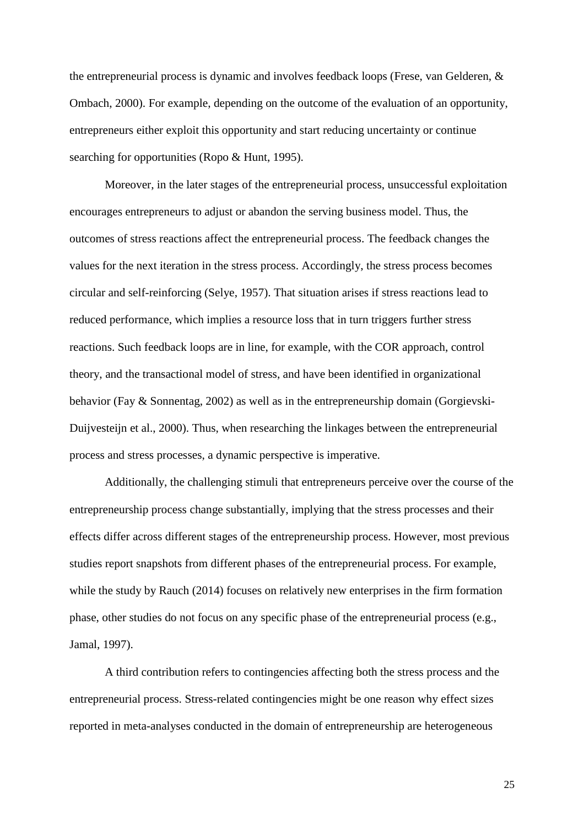the entrepreneurial process is dynamic and involves feedback loops (Frese, van Gelderen, & Ombach, 2000). For example, depending on the outcome of the evaluation of an opportunity, entrepreneurs either exploit this opportunity and start reducing uncertainty or continue searching for opportunities (Ropo & Hunt, 1995).

Moreover, in the later stages of the entrepreneurial process, unsuccessful exploitation encourages entrepreneurs to adjust or abandon the serving business model. Thus, the outcomes of stress reactions affect the entrepreneurial process. The feedback changes the values for the next iteration in the stress process. Accordingly, the stress process becomes circular and self-reinforcing (Selye, 1957). That situation arises if stress reactions lead to reduced performance, which implies a resource loss that in turn triggers further stress reactions. Such feedback loops are in line, for example, with the COR approach, control theory, and the transactional model of stress, and have been identified in organizational behavior (Fay & Sonnentag, 2002) as well as in the entrepreneurship domain (Gorgievski-Duijvesteijn et al., 2000). Thus, when researching the linkages between the entrepreneurial process and stress processes, a dynamic perspective is imperative.

Additionally, the challenging stimuli that entrepreneurs perceive over the course of the entrepreneurship process change substantially, implying that the stress processes and their effects differ across different stages of the entrepreneurship process. However, most previous studies report snapshots from different phases of the entrepreneurial process. For example, while the study by Rauch (2014) focuses on relatively new enterprises in the firm formation phase, other studies do not focus on any specific phase of the entrepreneurial process (e.g., Jamal, 1997).

A third contribution refers to contingencies affecting both the stress process and the entrepreneurial process. Stress-related contingencies might be one reason why effect sizes reported in meta-analyses conducted in the domain of entrepreneurship are heterogeneous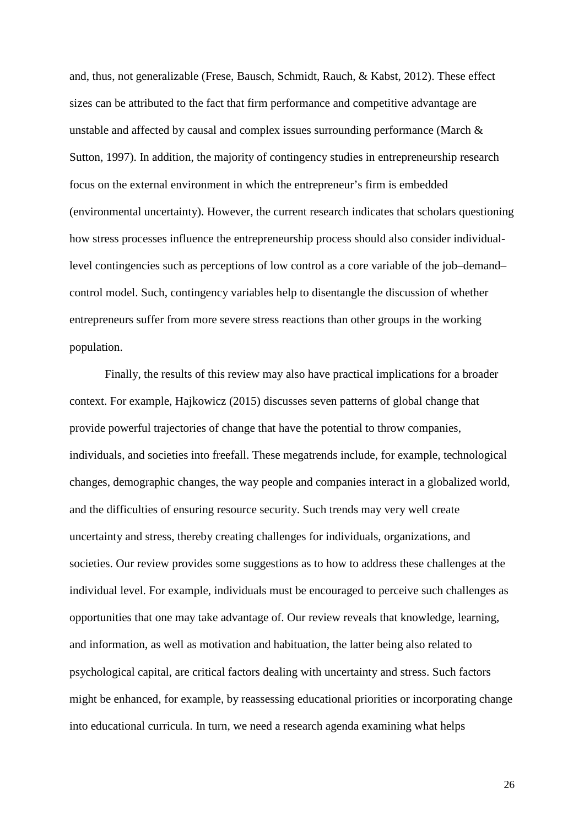and, thus, not generalizable (Frese, Bausch, Schmidt, Rauch, & Kabst, 2012). These effect sizes can be attributed to the fact that firm performance and competitive advantage are unstable and affected by causal and complex issues surrounding performance (March & Sutton, 1997). In addition, the majority of contingency studies in entrepreneurship research focus on the external environment in which the entrepreneur's firm is embedded (environmental uncertainty). However, the current research indicates that scholars questioning how stress processes influence the entrepreneurship process should also consider individuallevel contingencies such as perceptions of low control as a core variable of the job–demand– control model. Such, contingency variables help to disentangle the discussion of whether entrepreneurs suffer from more severe stress reactions than other groups in the working population.

Finally, the results of this review may also have practical implications for a broader context. For example, Hajkowicz (2015) discusses seven patterns of global change that provide powerful trajectories of change that have the potential to throw companies, individuals, and societies into freefall. These megatrends include, for example, technological changes, demographic changes, the way people and companies interact in a globalized world, and the difficulties of ensuring resource security. Such trends may very well create uncertainty and stress, thereby creating challenges for individuals, organizations, and societies. Our review provides some suggestions as to how to address these challenges at the individual level. For example, individuals must be encouraged to perceive such challenges as opportunities that one may take advantage of. Our review reveals that knowledge, learning, and information, as well as motivation and habituation, the latter being also related to psychological capital, are critical factors dealing with uncertainty and stress. Such factors might be enhanced, for example, by reassessing educational priorities or incorporating change into educational curricula. In turn, we need a research agenda examining what helps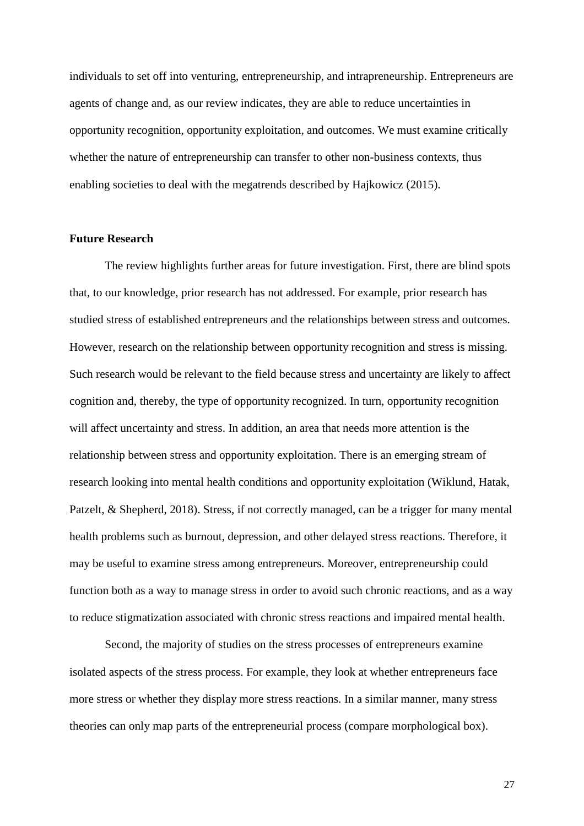individuals to set off into venturing, entrepreneurship, and intrapreneurship. Entrepreneurs are agents of change and, as our review indicates, they are able to reduce uncertainties in opportunity recognition, opportunity exploitation, and outcomes. We must examine critically whether the nature of entrepreneurship can transfer to other non-business contexts, thus enabling societies to deal with the megatrends described by Hajkowicz (2015).

### **Future Research**

The review highlights further areas for future investigation. First, there are blind spots that, to our knowledge, prior research has not addressed. For example, prior research has studied stress of established entrepreneurs and the relationships between stress and outcomes. However, research on the relationship between opportunity recognition and stress is missing. Such research would be relevant to the field because stress and uncertainty are likely to affect cognition and, thereby, the type of opportunity recognized. In turn, opportunity recognition will affect uncertainty and stress. In addition, an area that needs more attention is the relationship between stress and opportunity exploitation. There is an emerging stream of research looking into mental health conditions and opportunity exploitation (Wiklund, Hatak, Patzelt, & Shepherd, 2018). Stress, if not correctly managed, can be a trigger for many mental health problems such as burnout, depression, and other delayed stress reactions. Therefore, it may be useful to examine stress among entrepreneurs. Moreover, entrepreneurship could function both as a way to manage stress in order to avoid such chronic reactions, and as a way to reduce stigmatization associated with chronic stress reactions and impaired mental health.

Second, the majority of studies on the stress processes of entrepreneurs examine isolated aspects of the stress process. For example, they look at whether entrepreneurs face more stress or whether they display more stress reactions. In a similar manner, many stress theories can only map parts of the entrepreneurial process (compare morphological box).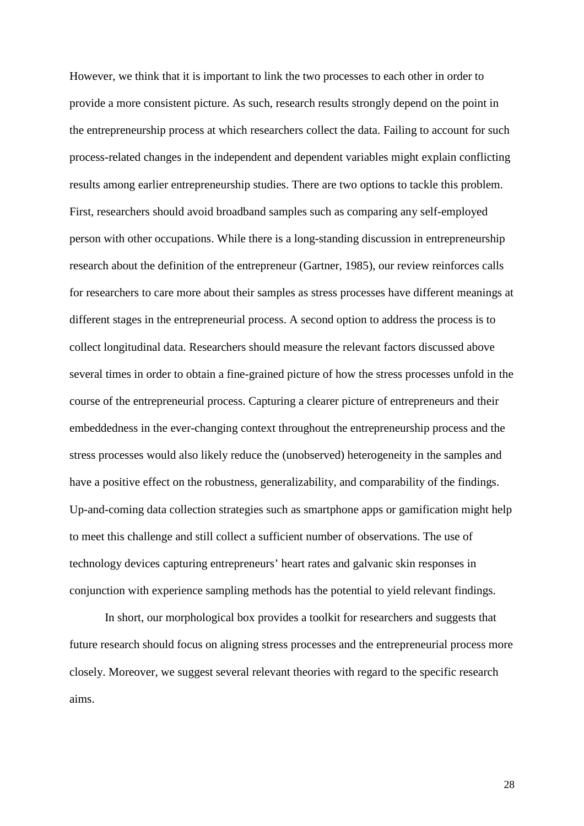However, we think that it is important to link the two processes to each other in order to provide a more consistent picture. As such, research results strongly depend on the point in the entrepreneurship process at which researchers collect the data. Failing to account for such process-related changes in the independent and dependent variables might explain conflicting results among earlier entrepreneurship studies. There are two options to tackle this problem. First, researchers should avoid broadband samples such as comparing any self-employed person with other occupations. While there is a long-standing discussion in entrepreneurship research about the definition of the entrepreneur (Gartner, 1985), our review reinforces calls for researchers to care more about their samples as stress processes have different meanings at different stages in the entrepreneurial process. A second option to address the process is to collect longitudinal data. Researchers should measure the relevant factors discussed above several times in order to obtain a fine-grained picture of how the stress processes unfold in the course of the entrepreneurial process. Capturing a clearer picture of entrepreneurs and their embeddedness in the ever-changing context throughout the entrepreneurship process and the stress processes would also likely reduce the (unobserved) heterogeneity in the samples and have a positive effect on the robustness, generalizability, and comparability of the findings. Up-and-coming data collection strategies such as smartphone apps or gamification might help to meet this challenge and still collect a sufficient number of observations. The use of technology devices capturing entrepreneurs' heart rates and galvanic skin responses in conjunction with experience sampling methods has the potential to yield relevant findings.

In short, our morphological box provides a toolkit for researchers and suggests that future research should focus on aligning stress processes and the entrepreneurial process more closely. Moreover, we suggest several relevant theories with regard to the specific research aims.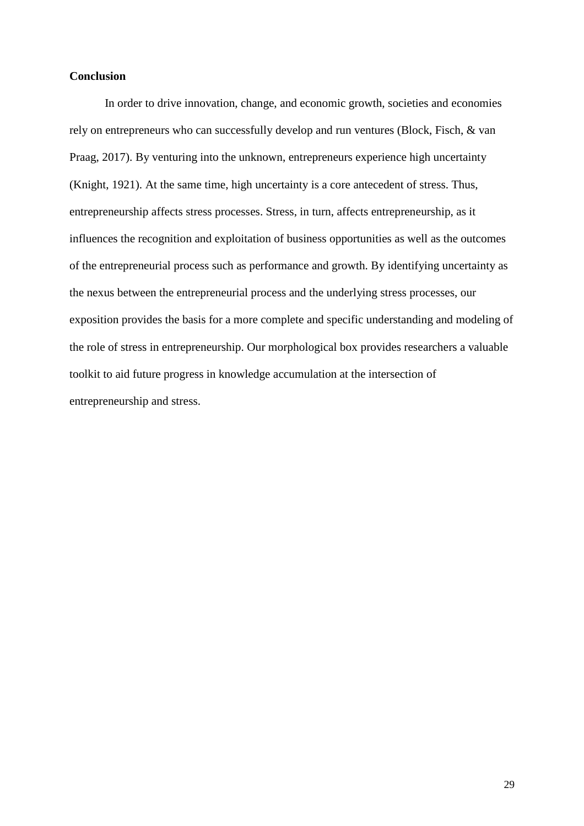# **Conclusion**

In order to drive innovation, change, and economic growth, societies and economies rely on entrepreneurs who can successfully develop and run ventures (Block, Fisch, & van Praag, 2017). By venturing into the unknown, entrepreneurs experience high uncertainty (Knight, 1921). At the same time, high uncertainty is a core antecedent of stress. Thus, entrepreneurship affects stress processes. Stress, in turn, affects entrepreneurship, as it influences the recognition and exploitation of business opportunities as well as the outcomes of the entrepreneurial process such as performance and growth. By identifying uncertainty as the nexus between the entrepreneurial process and the underlying stress processes, our exposition provides the basis for a more complete and specific understanding and modeling of the role of stress in entrepreneurship. Our morphological box provides researchers a valuable toolkit to aid future progress in knowledge accumulation at the intersection of entrepreneurship and stress.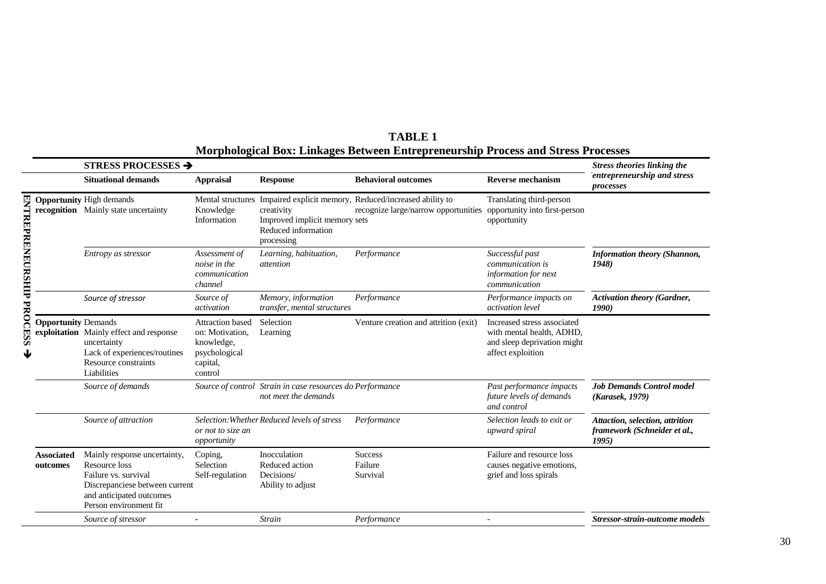|                               | STRESS PROCESSES $\rightarrow$                                                                                                                                       | <b>Stress theories linking the</b>                                                               |                                                                                   |                                                                                                |                                                                                                              |                                                                          |
|-------------------------------|----------------------------------------------------------------------------------------------------------------------------------------------------------------------|--------------------------------------------------------------------------------------------------|-----------------------------------------------------------------------------------|------------------------------------------------------------------------------------------------|--------------------------------------------------------------------------------------------------------------|--------------------------------------------------------------------------|
|                               | <b>Situational demands</b>                                                                                                                                           | <b>Appraisal</b>                                                                                 | <b>Response</b>                                                                   | <b>Behavioral outcomes</b>                                                                     | <b>Reverse mechanism</b>                                                                                     | entrepreneurship and stress<br>processes                                 |
| EXTREPRENDENSHIP PROCESS      | <b>Opportunity High demands</b><br>recognition Mainly state uncertainty                                                                                              | Mental structures<br>Knowledge<br>Information                                                    | creativity<br>Improved implicit memory sets<br>Reduced information<br>processing  | Impaired explicit memory, Reduced/increased ability to<br>recognize large/narrow opportunities | Translating third-person<br>opportunity into first-person<br>opportunity                                     |                                                                          |
|                               | Entropy as stressor                                                                                                                                                  | Assessment of<br>noise in the<br>communication<br>channel                                        | Learning, habituation,<br>attention                                               | Performance                                                                                    | Successful past<br>communication is<br>information for next<br>communication                                 | <b>Information theory (Shannon,</b><br>1948)                             |
|                               | Source of stressor                                                                                                                                                   | Source of<br>activation                                                                          | Memory, information<br>transfer, mental structures                                | Performance                                                                                    | Performance impacts on<br>activation level                                                                   | <b>Activation theory (Gardner,</b><br><b>1990</b> )                      |
| <b>Opportunity Demands</b>    | exploitation Mainly effect and response<br>uncertainty<br>Lack of experiences/routines<br>Resource constraints<br>Liabilities                                        | <b>Attraction</b> based<br>on: Motivation,<br>knowledge,<br>psychological<br>capital,<br>control | Selection<br>Learning                                                             | Venture creation and attrition (exit)                                                          | Increased stress associated<br>with mental health, ADHD,<br>and sleep deprivation might<br>affect exploition |                                                                          |
|                               | Source of demands                                                                                                                                                    |                                                                                                  | Source of control Strain in case resources do Performance<br>not meet the demands |                                                                                                | Past performance impacts<br>future levels of demands<br>and control                                          | <b>Job Demands Control model</b><br>(Karasek, 1979)                      |
|                               | Source of attraction                                                                                                                                                 | or not to size an<br>opportunity                                                                 | Selection: Whether Reduced levels of stress                                       | Performance                                                                                    | Selection leads to exit or<br>upward spiral                                                                  | Attaction, selection, attrition<br>framework (Schneider et al.,<br>1995) |
| <b>Associated</b><br>outcomes | Mainly response uncertainty,<br><b>Resource loss</b><br>Failure vs. survival<br>Discrepanciese between current<br>and anticipated outcomes<br>Person environment fit | Coping,<br>Selection<br>Self-regulation                                                          | Inocculation<br>Reduced action<br>Decisions/<br>Ability to adjust                 | <b>Success</b><br>Failure<br>Survival                                                          | Failure and resource loss<br>causes negative emotions,<br>grief and loss spirals                             |                                                                          |
|                               | Source of stressor                                                                                                                                                   |                                                                                                  | <b>Strain</b>                                                                     | Performance                                                                                    |                                                                                                              | Stressor-strain-outcome models                                           |

**TABLE 1 Morphological Box: Linkages Between Entrepreneurship Process and Stress Processes**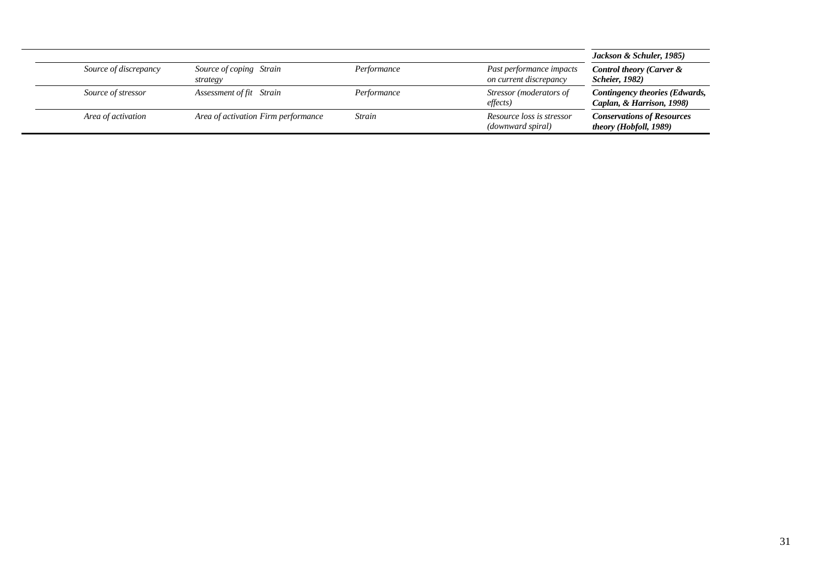|                       |                                     |             |                                                    | Jackson & Schuler, 1985)                                    |
|-----------------------|-------------------------------------|-------------|----------------------------------------------------|-------------------------------------------------------------|
| Source of discrepancy | Source of coping Strain<br>strategy | Performance | Past performance impacts<br>on current discrepancy | Control theory (Carver &<br><i>Scheier, 1982</i> )          |
| Source of stressor    | Assessment of fit Strain            | Performance | Stressor (moderators of<br>effects)                | Contingency theories (Edwards,<br>Caplan, & Harrison, 1998) |
| Area of activation    | Area of activation Firm performance | Strain      | Resource loss is stressor<br>(downward spiral)     | <b>Conservations of Resources</b><br>theory (Hobfoll, 1989) |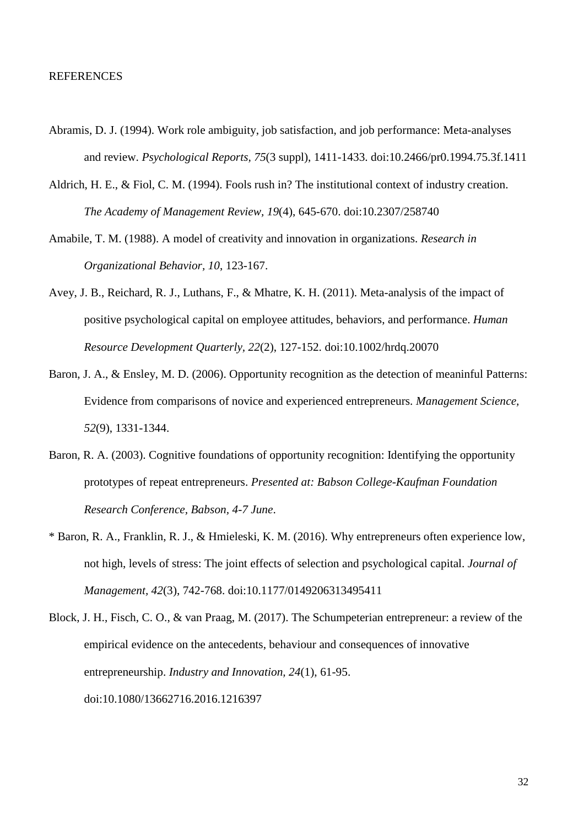## REFERENCES

- Abramis, D. J. (1994). Work role ambiguity, job satisfaction, and job performance: Meta-analyses and review. *Psychological Reports, 75*(3 suppl), 1411-1433. doi:10.2466/pr0.1994.75.3f.1411
- Aldrich, H. E., & Fiol, C. M. (1994). Fools rush in? The institutional context of industry creation. *The Academy of Management Review, 19*(4), 645-670. doi:10.2307/258740
- Amabile, T. M. (1988). A model of creativity and innovation in organizations. *Research in Organizational Behavior, 10*, 123-167.
- Avey, J. B., Reichard, R. J., Luthans, F., & Mhatre, K. H. (2011). Meta-analysis of the impact of positive psychological capital on employee attitudes, behaviors, and performance. *Human Resource Development Quarterly, 22*(2), 127-152. doi:10.1002/hrdq.20070
- Baron, J. A., & Ensley, M. D. (2006). Opportunity recognition as the detection of meaninful Patterns: Evidence from comparisons of novice and experienced entrepreneurs. *Management Science, 52*(9), 1331-1344.
- Baron, R. A. (2003). Cognitive foundations of opportunity recognition: Identifying the opportunity prototypes of repeat entrepreneurs. *Presented at: Babson College-Kaufman Foundation Research Conference, Babson, 4-7 June*.
- \* Baron, R. A., Franklin, R. J., & Hmieleski, K. M. (2016). Why entrepreneurs often experience low, not high, levels of stress: The joint effects of selection and psychological capital. *Journal of Management, 42*(3), 742-768. doi:10.1177/0149206313495411

Block, J. H., Fisch, C. O., & van Praag, M. (2017). The Schumpeterian entrepreneur: a review of the empirical evidence on the antecedents, behaviour and consequences of innovative entrepreneurship. *Industry and Innovation, 24*(1), 61-95. doi:10.1080/13662716.2016.1216397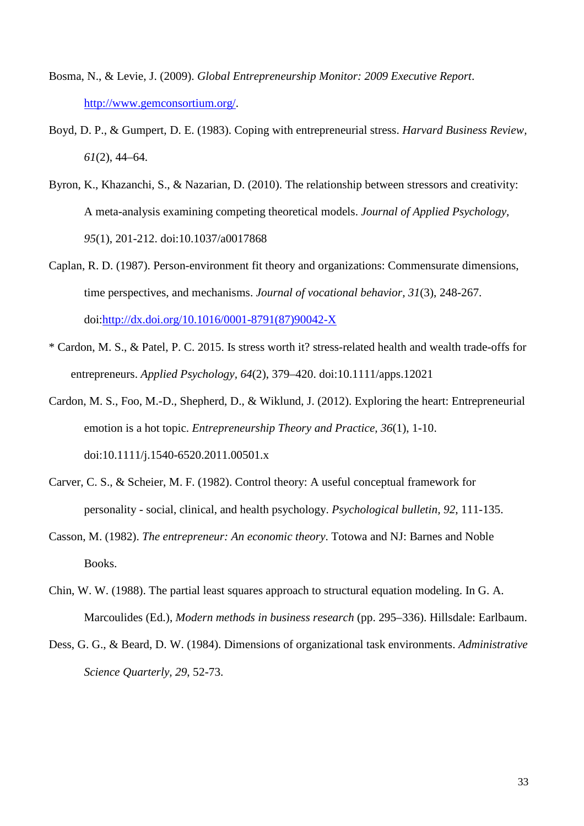- Bosma, N., & Levie, J. (2009). *Global Entrepreneurship Monitor: 2009 Executive Report*. http://www.gemconsortium.org/.
- Boyd, D. P., & Gumpert, D. E. (1983). Coping with entrepreneurial stress. *Harvard Business Review, 61*(2), 44–64.
- Byron, K., Khazanchi, S., & Nazarian, D. (2010). The relationship between stressors and creativity: A meta-analysis examining competing theoretical models. *Journal of Applied Psychology, 95*(1), 201-212. doi:10.1037/a0017868
- Caplan, R. D. (1987). Person-environment fit theory and organizations: Commensurate dimensions, time perspectives, and mechanisms. *Journal of vocational behavior, 31*(3), 248-267. doi:http://dx.doi.org/10.1016/0001-8791(87)90042-X
- \* Cardon, M. S., & Patel, P. C. 2015. Is stress worth it? stress-related health and wealth trade-offs for entrepreneurs. *Applied Psychology, 64*(2), 379–420. doi:10.1111/apps.12021
- Cardon, M. S., Foo, M.-D., Shepherd, D., & Wiklund, J. (2012). Exploring the heart: Entrepreneurial emotion is a hot topic. *Entrepreneurship Theory and Practice, 36*(1), 1-10. doi:10.1111/j.1540-6520.2011.00501.x
- Carver, C. S., & Scheier, M. F. (1982). Control theory: A useful conceptual framework for personality - social, clinical, and health psychology. *Psychological bulletin, 92*, 111-135.
- Casson, M. (1982). *The entrepreneur: An economic theory*. Totowa and NJ: Barnes and Noble Books.
- Chin, W. W. (1988). The partial least squares approach to structural equation modeling. In G. A. Marcoulides (Ed.), *Modern methods in business research* (pp. 295–336). Hillsdale: Earlbaum.
- Dess, G. G., & Beard, D. W. (1984). Dimensions of organizational task environments. *Administrative Science Quarterly, 29*, 52-73.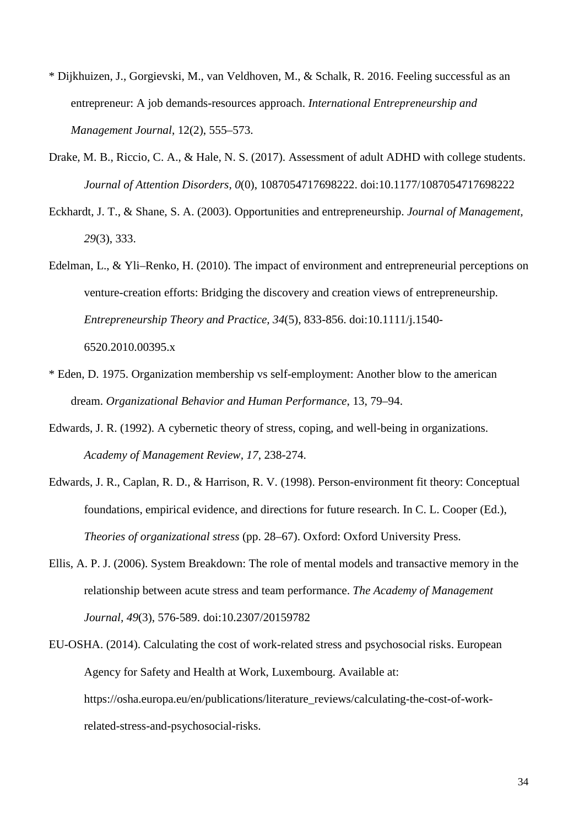- \* Dijkhuizen, J., Gorgievski, M., van Veldhoven, M., & Schalk, R. 2016. Feeling successful as an entrepreneur: A job demands-resources approach. *International Entrepreneurship and Management Journal*, 12(2), 555–573.
- Drake, M. B., Riccio, C. A., & Hale, N. S. (2017). Assessment of adult ADHD with college students. *Journal of Attention Disorders, 0*(0), 1087054717698222. doi:10.1177/1087054717698222
- Eckhardt, J. T., & Shane, S. A. (2003). Opportunities and entrepreneurship. *Journal of Management, 29*(3), 333.
- Edelman, L., & Yli–Renko, H. (2010). The impact of environment and entrepreneurial perceptions on venture-creation efforts: Bridging the discovery and creation views of entrepreneurship. *Entrepreneurship Theory and Practice, 34*(5), 833-856. doi:10.1111/j.1540- 6520.2010.00395.x
- \* Eden, D. 1975. Organization membership vs self-employment: Another blow to the american dream. *Organizational Behavior and Human Performance*, 13, 79–94.
- Edwards, J. R. (1992). A cybernetic theory of stress, coping, and well-being in organizations. *Academy of Management Review, 17*, 238-274.
- Edwards, J. R., Caplan, R. D., & Harrison, R. V. (1998). Person-environment fit theory: Conceptual foundations, empirical evidence, and directions for future research. In C. L. Cooper (Ed.), *Theories of organizational stress* (pp. 28–67). Oxford: Oxford University Press.
- Ellis, A. P. J. (2006). System Breakdown: The role of mental models and transactive memory in the relationship between acute stress and team performance. *The Academy of Management Journal, 49*(3), 576-589. doi:10.2307/20159782
- EU-OSHA. (2014). Calculating the cost of work-related stress and psychosocial risks. European Agency for Safety and Health at Work, Luxembourg. Available at: https://osha.europa.eu/en/publications/literature\_reviews/calculating-the-cost-of-workrelated-stress-and-psychosocial-risks.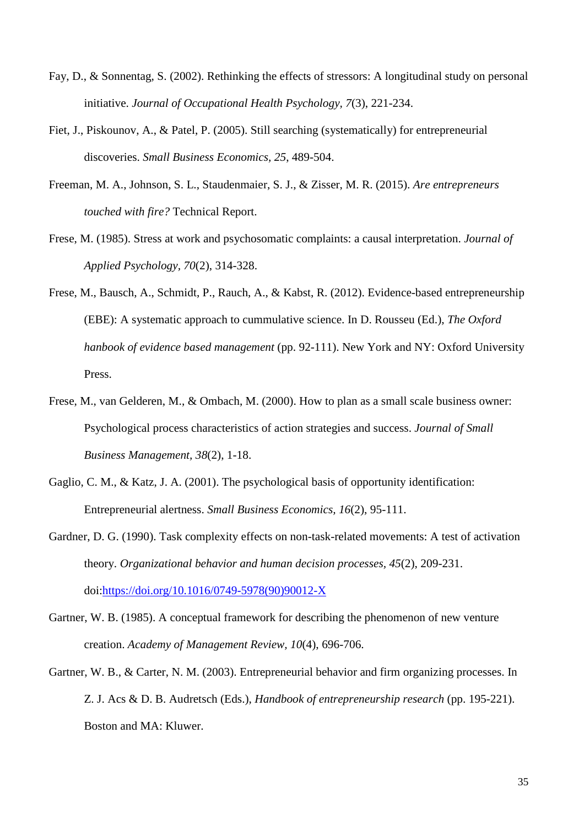- Fay, D., & Sonnentag, S. (2002). Rethinking the effects of stressors: A longitudinal study on personal initiative. *Journal of Occupational Health Psychology, 7*(3), 221-234.
- Fiet, J., Piskounov, A., & Patel, P. (2005). Still searching (systematically) for entrepreneurial discoveries. *Small Business Economics, 25*, 489-504.
- Freeman, M. A., Johnson, S. L., Staudenmaier, S. J., & Zisser, M. R. (2015). *Are entrepreneurs touched with fire?* Technical Report.
- Frese, M. (1985). Stress at work and psychosomatic complaints: a causal interpretation. *Journal of Applied Psychology, 70*(2), 314-328.
- Frese, M., Bausch, A., Schmidt, P., Rauch, A., & Kabst, R. (2012). Evidence-based entrepreneurship (EBE): A systematic approach to cummulative science. In D. Rousseu (Ed.), *The Oxford hanbook of evidence based management* (pp. 92-111). New York and NY: Oxford University Press.
- Frese, M., van Gelderen, M., & Ombach, M. (2000). How to plan as a small scale business owner: Psychological process characteristics of action strategies and success. *Journal of Small Business Management, 38*(2), 1-18.
- Gaglio, C. M., & Katz, J. A. (2001). The psychological basis of opportunity identification: Entrepreneurial alertness. *Small Business Economics, 16*(2), 95-111.
- Gardner, D. G. (1990). Task complexity effects on non-task-related movements: A test of activation theory. *Organizational behavior and human decision processes, 45*(2), 209-231. doi:https://doi.org/10.1016/0749-5978(90)90012-X
- Gartner, W. B. (1985). A conceptual framework for describing the phenomenon of new venture creation. *Academy of Management Review, 10*(4), 696-706.
- Gartner, W. B., & Carter, N. M. (2003). Entrepreneurial behavior and firm organizing processes. In Z. J. Acs & D. B. Audretsch (Eds.), *Handbook of entrepreneurship research* (pp. 195-221). Boston and MA: Kluwer.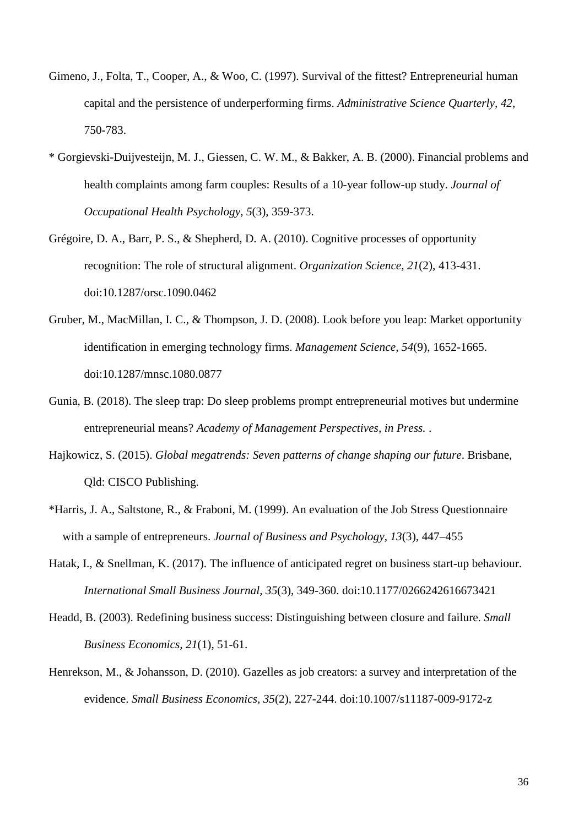- Gimeno, J., Folta, T., Cooper, A., & Woo, C. (1997). Survival of the fittest? Entrepreneurial human capital and the persistence of underperforming firms. *Administrative Science Quarterly, 42*, 750-783.
- \* Gorgievski-Duijvesteijn, M. J., Giessen, C. W. M., & Bakker, A. B. (2000). Financial problems and health complaints among farm couples: Results of a 10-year follow-up study. *Journal of Occupational Health Psychology, 5*(3), 359-373.
- Grégoire, D. A., Barr, P. S., & Shepherd, D. A. (2010). Cognitive processes of opportunity recognition: The role of structural alignment. *Organization Science, 21*(2), 413-431. doi:10.1287/orsc.1090.0462
- Gruber, M., MacMillan, I. C., & Thompson, J. D. (2008). Look before you leap: Market opportunity identification in emerging technology firms. *Management Science, 54*(9), 1652-1665. doi:10.1287/mnsc.1080.0877
- Gunia, B. (2018). The sleep trap: Do sleep problems prompt entrepreneurial motives but undermine entrepreneurial means? *Academy of Management Perspectives, in Press.* .
- Hajkowicz, S. (2015). *Global megatrends: Seven patterns of change shaping our future*. Brisbane, Qld: CISCO Publishing.
- \*Harris, J. A., Saltstone, R., & Fraboni, M. (1999). An evaluation of the Job Stress Questionnaire with a sample of entrepreneurs. *Journal of Business and Psychology*, *13*(3), 447–455
- Hatak, I., & Snellman, K. (2017). The influence of anticipated regret on business start-up behaviour. *International Small Business Journal, 35*(3), 349-360. doi:10.1177/0266242616673421
- Headd, B. (2003). Redefining business success: Distinguishing between closure and failure. *Small Business Economics, 21*(1), 51-61.
- Henrekson, M., & Johansson, D. (2010). Gazelles as job creators: a survey and interpretation of the evidence. *Small Business Economics, 35*(2), 227-244. doi:10.1007/s11187-009-9172-z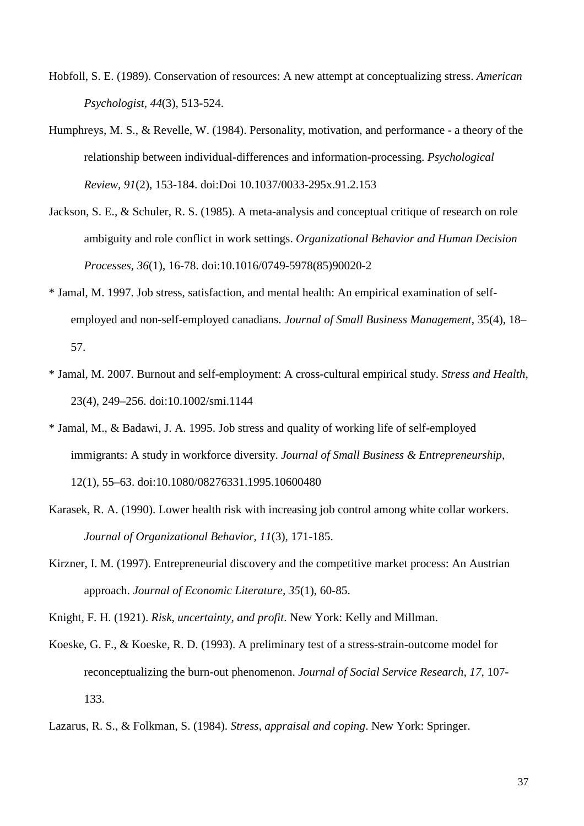- Hobfoll, S. E. (1989). Conservation of resources: A new attempt at conceptualizing stress. *American Psychologist, 44*(3), 513-524.
- Humphreys, M. S., & Revelle, W. (1984). Personality, motivation, and performance a theory of the relationship between individual-differences and information-processing. *Psychological Review, 91*(2), 153-184. doi:Doi 10.1037/0033-295x.91.2.153
- Jackson, S. E., & Schuler, R. S. (1985). A meta-analysis and conceptual critique of research on role ambiguity and role conflict in work settings. *Organizational Behavior and Human Decision Processes, 36*(1), 16-78. doi:10.1016/0749-5978(85)90020-2
- \* Jamal, M. 1997. Job stress, satisfaction, and mental health: An empirical examination of selfemployed and non-self-employed canadians. *Journal of Small Business Management*, 35(4), 18– 57.
- \* Jamal, M. 2007. Burnout and self-employment: A cross-cultural empirical study. *Stress and Health*, 23(4), 249–256. doi:10.1002/smi.1144
- \* Jamal, M., & Badawi, J. A. 1995. Job stress and quality of working life of self-employed immigrants: A study in workforce diversity. *Journal of Small Business & Entrepreneurship*, 12(1), 55–63. doi:10.1080/08276331.1995.10600480
- Karasek, R. A. (1990). Lower health risk with increasing job control among white collar workers. *Journal of Organizational Behavior, 11*(3), 171-185.
- Kirzner, I. M. (1997). Entrepreneurial discovery and the competitive market process: An Austrian approach. *Journal of Economic Literature, 35*(1), 60-85.

Knight, F. H. (1921). *Risk, uncertainty, and profit*. New York: Kelly and Millman.

- Koeske, G. F., & Koeske, R. D. (1993). A preliminary test of a stress-strain-outcome model for reconceptualizing the burn-out phenomenon. *Journal of Social Service Research, 17*, 107- 133.
- Lazarus, R. S., & Folkman, S. (1984). *Stress, appraisal and coping*. New York: Springer.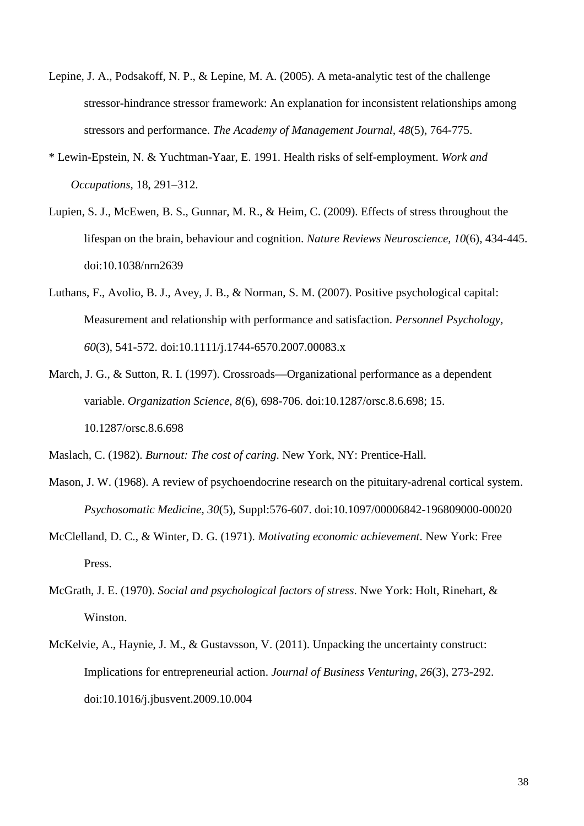- Lepine, J. A., Podsakoff, N. P., & Lepine, M. A. (2005). A meta-analytic test of the challenge stressor-hindrance stressor framework: An explanation for inconsistent relationships among stressors and performance. *The Academy of Management Journal, 48*(5), 764-775.
- \* Lewin-Epstein, N. & Yuchtman-Yaar, E. 1991. Health risks of self-employment. *Work and Occupations*, 18, 291–312.
- Lupien, S. J., McEwen, B. S., Gunnar, M. R., & Heim, C. (2009). Effects of stress throughout the lifespan on the brain, behaviour and cognition. *Nature Reviews Neuroscience, 10*(6), 434-445. doi:10.1038/nrn2639
- Luthans, F., Avolio, B. J., Avey, J. B., & Norman, S. M. (2007). Positive psychological capital: Measurement and relationship with performance and satisfaction. *Personnel Psychology, 60*(3), 541-572. doi:10.1111/j.1744-6570.2007.00083.x
- March, J. G., & Sutton, R. I. (1997). Crossroads—Organizational performance as a dependent variable. *Organization Science, 8*(6), 698-706. doi:10.1287/orsc.8.6.698; 15. 10.1287/orsc.8.6.698

Maslach, C. (1982). *Burnout: The cost of caring*. New York, NY: Prentice-Hall.

- Mason, J. W. (1968). A review of psychoendocrine research on the pituitary-adrenal cortical system. *Psychosomatic Medicine, 30*(5), Suppl:576-607. doi:10.1097/00006842-196809000-00020
- McClelland, D. C., & Winter, D. G. (1971). *Motivating economic achievement*. New York: Free Press.
- McGrath, J. E. (1970). *Social and psychological factors of stress*. Nwe York: Holt, Rinehart, & Winston.
- McKelvie, A., Haynie, J. M., & Gustavsson, V. (2011). Unpacking the uncertainty construct: Implications for entrepreneurial action. *Journal of Business Venturing, 26*(3), 273-292. doi:10.1016/j.jbusvent.2009.10.004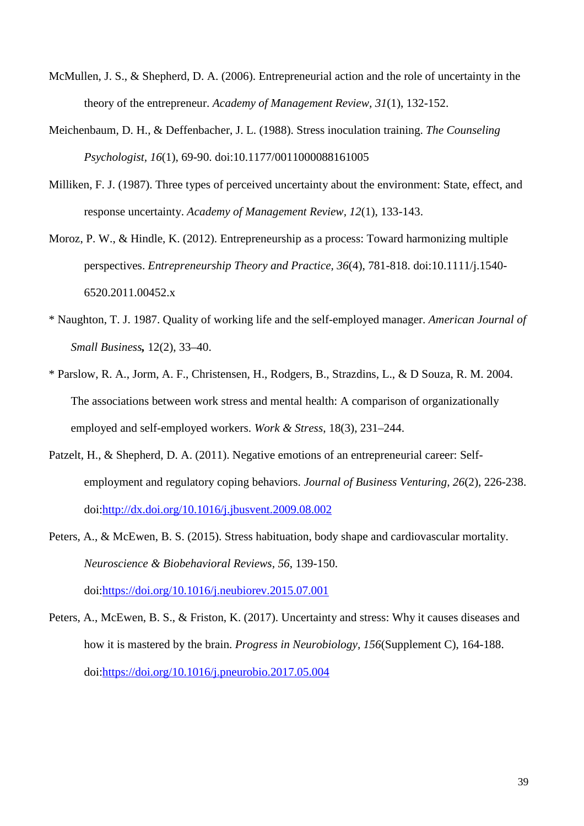- McMullen, J. S., & Shepherd, D. A. (2006). Entrepreneurial action and the role of uncertainty in the theory of the entrepreneur. *Academy of Management Review, 31*(1), 132-152.
- Meichenbaum, D. H., & Deffenbacher, J. L. (1988). Stress inoculation training. *The Counseling Psychologist, 16*(1), 69-90. doi:10.1177/0011000088161005
- Milliken, F. J. (1987). Three types of perceived uncertainty about the environment: State, effect, and response uncertainty. *Academy of Management Review, 12*(1), 133-143.
- Moroz, P. W., & Hindle, K. (2012). Entrepreneurship as a process: Toward harmonizing multiple perspectives. *Entrepreneurship Theory and Practice, 36*(4), 781-818. doi:10.1111/j.1540- 6520.2011.00452.x
- \* Naughton, T. J. 1987. Quality of working life and the self-employed manager. *American Journal of Small Business,* 12(2), 33–40.
- \* Parslow, R. A., Jorm, A. F., Christensen, H., Rodgers, B., Strazdins, L., & D Souza, R. M. 2004. The associations between work stress and mental health: A comparison of organizationally employed and self-employed workers. *Work & Stress*, 18(3), 231–244.
- Patzelt, H., & Shepherd, D. A. (2011). Negative emotions of an entrepreneurial career: Selfemployment and regulatory coping behaviors. *Journal of Business Venturing, 26*(2), 226-238. doi:http://dx.doi.org/10.1016/j.jbusvent.2009.08.002
- Peters, A., & McEwen, B. S. (2015). Stress habituation, body shape and cardiovascular mortality. *Neuroscience & Biobehavioral Reviews, 56*, 139-150. doi:https://doi.org/10.1016/j.neubiorev.2015.07.001
- Peters, A., McEwen, B. S., & Friston, K. (2017). Uncertainty and stress: Why it causes diseases and how it is mastered by the brain. *Progress in Neurobiology, 156*(Supplement C), 164-188. doi:https://doi.org/10.1016/j.pneurobio.2017.05.004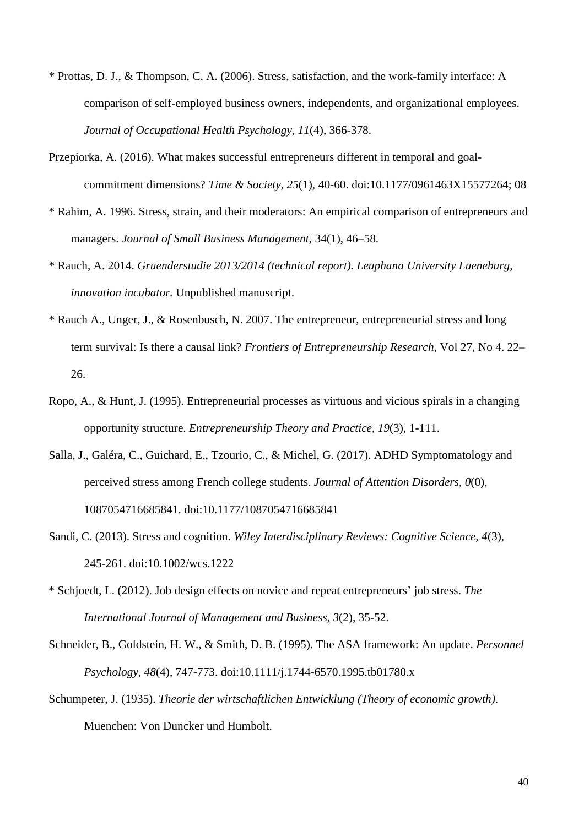- \* Prottas, D. J., & Thompson, C. A. (2006). Stress, satisfaction, and the work-family interface: A comparison of self-employed business owners, independents, and organizational employees. *Journal of Occupational Health Psychology, 11*(4), 366-378.
- Przepiorka, A. (2016). What makes successful entrepreneurs different in temporal and goalcommitment dimensions? *Time & Society, 25*(1), 40-60. doi:10.1177/0961463X15577264; 08
- \* Rahim, A. 1996. Stress, strain, and their moderators: An empirical comparison of entrepreneurs and managers. *Journal of Small Business Management*, 34(1), 46–58.
- \* Rauch, A. 2014. *Gruenderstudie 2013/2014 (technical report). Leuphana University Lueneburg, innovation incubator.* Unpublished manuscript.
- \* Rauch A., Unger, J., & Rosenbusch, N. 2007. The entrepreneur, entrepreneurial stress and long term survival: Is there a causal link? *Frontiers of Entrepreneurship Research*, Vol 27, No 4. 22– 26.
- Ropo, A., & Hunt, J. (1995). Entrepreneurial processes as virtuous and vicious spirals in a changing opportunity structure. *Entrepreneurship Theory and Practice, 19*(3), 1-111.
- Salla, J., Galéra, C., Guichard, E., Tzourio, C., & Michel, G. (2017). ADHD Symptomatology and perceived stress among French college students. *Journal of Attention Disorders, 0*(0), 1087054716685841. doi:10.1177/1087054716685841
- Sandi, C. (2013). Stress and cognition. *Wiley Interdisciplinary Reviews: Cognitive Science, 4*(3), 245-261. doi:10.1002/wcs.1222
- \* Schjoedt, L. (2012). Job design effects on novice and repeat entrepreneurs' job stress. *The International Journal of Management and Business, 3*(2), 35-52.
- Schneider, B., Goldstein, H. W., & Smith, D. B. (1995). The ASA framework: An update. *Personnel Psychology, 48*(4), 747-773. doi:10.1111/j.1744-6570.1995.tb01780.x
- Schumpeter, J. (1935). *Theorie der wirtschaftlichen Entwicklung (Theory of economic growth)*. Muenchen: Von Duncker und Humbolt.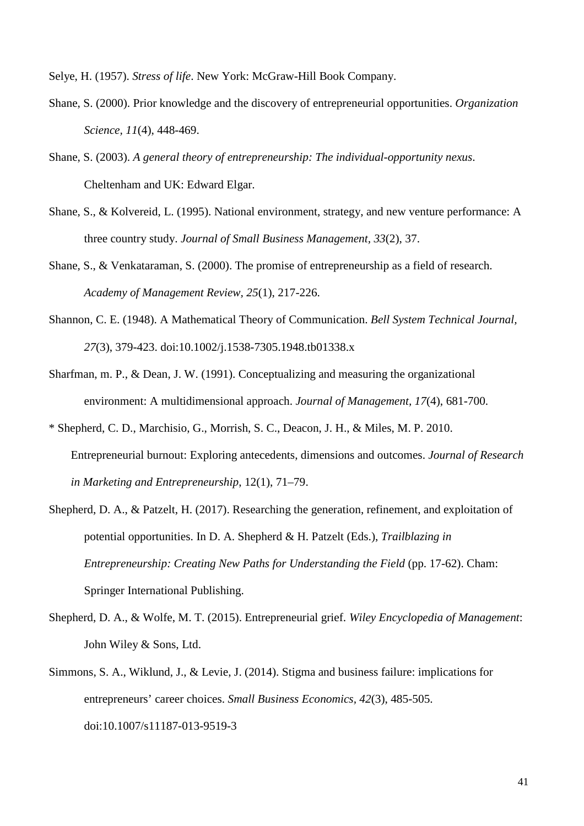Selye, H. (1957). *Stress of life*. New York: McGraw-Hill Book Company.

- Shane, S. (2000). Prior knowledge and the discovery of entrepreneurial opportunities. *Organization Science, 11*(4), 448-469.
- Shane, S. (2003). *A general theory of entrepreneurship: The individual-opportunity nexus*. Cheltenham and UK: Edward Elgar.
- Shane, S., & Kolvereid, L. (1995). National environment, strategy, and new venture performance: A three country study. *Journal of Small Business Management, 33*(2), 37.
- Shane, S., & Venkataraman, S. (2000). The promise of entrepreneurship as a field of research. *Academy of Management Review, 25*(1), 217-226.
- Shannon, C. E. (1948). A Mathematical Theory of Communication. *Bell System Technical Journal, 27*(3), 379-423. doi:10.1002/j.1538-7305.1948.tb01338.x
- Sharfman, m. P., & Dean, J. W. (1991). Conceptualizing and measuring the organizational environment: A multidimensional approach. *Journal of Management, 17*(4), 681-700.
- \* Shepherd, C. D., Marchisio, G., Morrish, S. C., Deacon, J. H., & Miles, M. P. 2010. Entrepreneurial burnout: Exploring antecedents, dimensions and outcomes. *Journal of Research in Marketing and Entrepreneurship*, 12(1), 71–79.
- Shepherd, D. A., & Patzelt, H. (2017). Researching the generation, refinement, and exploitation of potential opportunities. In D. A. Shepherd & H. Patzelt (Eds.), *Trailblazing in Entrepreneurship: Creating New Paths for Understanding the Field* (pp. 17-62). Cham: Springer International Publishing.
- Shepherd, D. A., & Wolfe, M. T. (2015). Entrepreneurial grief. *Wiley Encyclopedia of Management*: John Wiley & Sons, Ltd.
- Simmons, S. A., Wiklund, J., & Levie, J. (2014). Stigma and business failure: implications for entrepreneurs' career choices. *Small Business Economics, 42*(3), 485-505. doi:10.1007/s11187-013-9519-3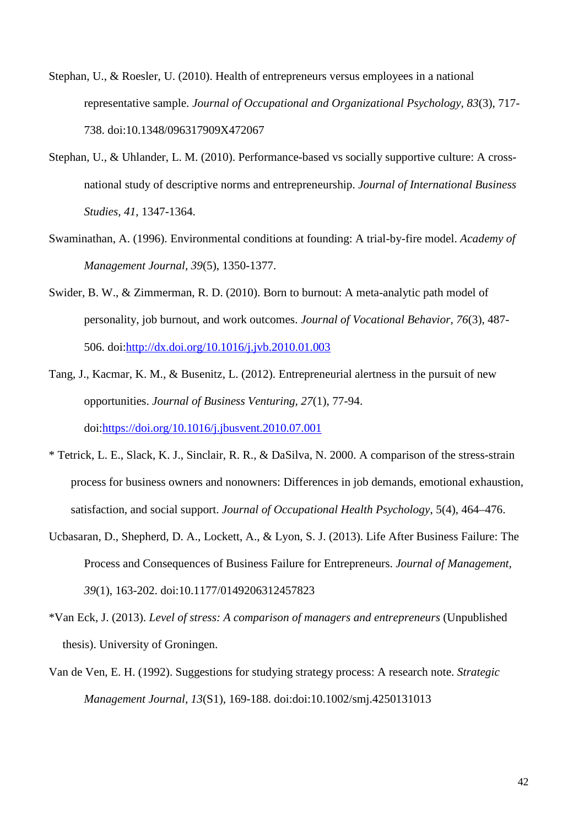- Stephan, U., & Roesler, U. (2010). Health of entrepreneurs versus employees in a national representative sample. *Journal of Occupational and Organizational Psychology, 83*(3), 717- 738. doi:10.1348/096317909X472067
- Stephan, U., & Uhlander, L. M. (2010). Performance-based vs socially supportive culture: A crossnational study of descriptive norms and entrepreneurship. *Journal of International Business Studies, 41*, 1347-1364.
- Swaminathan, A. (1996). Environmental conditions at founding: A trial-by-fire model. *Academy of Management Journal, 39*(5), 1350-1377.
- Swider, B. W., & Zimmerman, R. D. (2010). Born to burnout: A meta-analytic path model of personality, job burnout, and work outcomes. *Journal of Vocational Behavior, 76*(3), 487- 506. doi:http://dx.doi.org/10.1016/j.jvb.2010.01.003
- Tang, J., Kacmar, K. M., & Busenitz, L. (2012). Entrepreneurial alertness in the pursuit of new opportunities. *Journal of Business Venturing, 27*(1), 77-94. doi:https://doi.org/10.1016/j.jbusvent.2010.07.001
- \* Tetrick, L. E., Slack, K. J., Sinclair, R. R., & DaSilva, N. 2000. A comparison of the stress-strain process for business owners and nonowners: Differences in job demands, emotional exhaustion, satisfaction, and social support. *Journal of Occupational Health Psychology*, 5(4), 464–476.
- Ucbasaran, D., Shepherd, D. A., Lockett, A., & Lyon, S. J. (2013). Life After Business Failure: The Process and Consequences of Business Failure for Entrepreneurs. *Journal of Management, 39*(1), 163-202. doi:10.1177/0149206312457823
- \*Van Eck, J. (2013). *Level of stress: A comparison of managers and entrepreneurs* (Unpublished thesis). University of Groningen.
- Van de Ven, E. H. (1992). Suggestions for studying strategy process: A research note. *Strategic Management Journal, 13*(S1), 169-188. doi:doi:10.1002/smj.4250131013